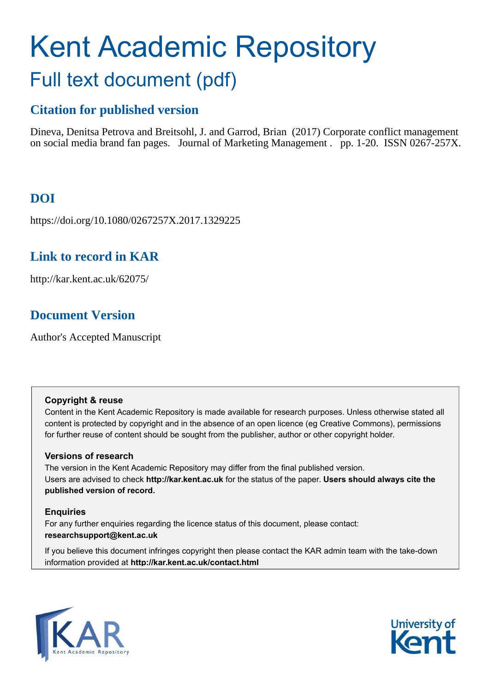# Kent Academic Repository Full text document (pdf)

# **Citation for published version**

Dineva, Denitsa Petrova and Breitsohl, J. and Garrod, Brian (2017) Corporate conflict management on social media brand fan pages. Journal of Marketing Management . pp. 1-20. ISSN 0267-257X.

# **DOI**

https://doi.org/10.1080/0267257X.2017.1329225

# **Link to record in KAR**

http://kar.kent.ac.uk/62075/

# **Document Version**

Author's Accepted Manuscript

## **Copyright & reuse**

Content in the Kent Academic Repository is made available for research purposes. Unless otherwise stated all content is protected by copyright and in the absence of an open licence (eg Creative Commons), permissions for further reuse of content should be sought from the publisher, author or other copyright holder.

# **Versions of research**

The version in the Kent Academic Repository may differ from the final published version. Users are advised to check **http://kar.kent.ac.uk** for the status of the paper. **Users should always cite the published version of record.**

# **Enquiries**

For any further enquiries regarding the licence status of this document, please contact: **researchsupport@kent.ac.uk**

If you believe this document infringes copyright then please contact the KAR admin team with the take-down information provided at **http://kar.kent.ac.uk/contact.html**



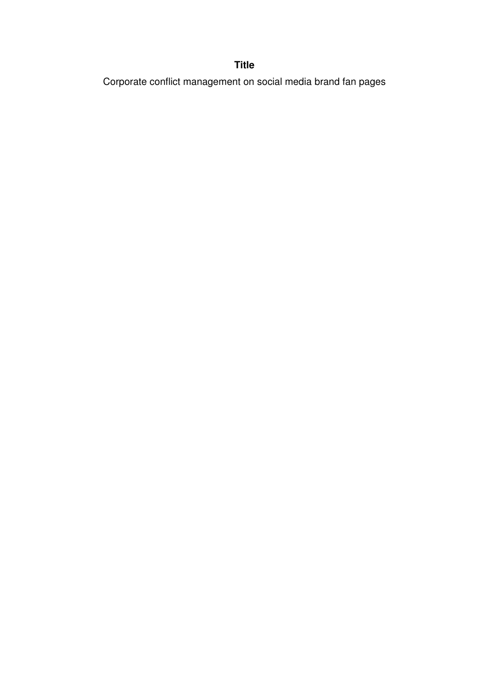# **Title**

Corporate conflict management on social media brand fan pages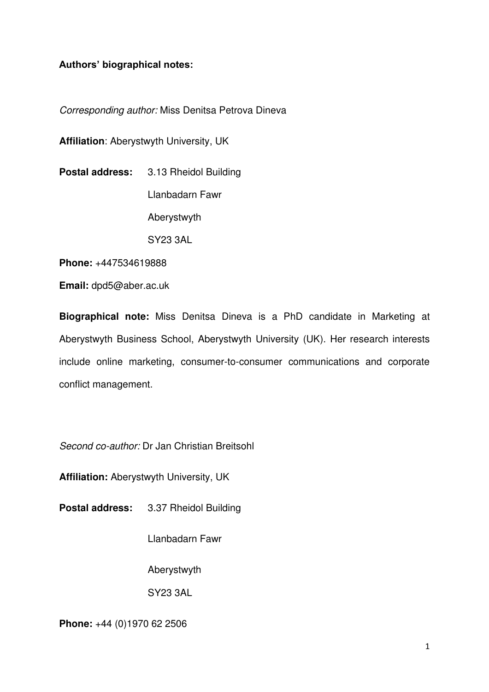# **Authors' biographical notes:**

*Corresponding author:* Miss Denitsa Petrova Dineva

**Affiliation**: Aberystwyth University, UK

**Postal address:** 3.13 Rheidol Building Llanbadarn Fawr Aberystwyth SY23 3AL

**Phone:** +447534619888

**Email:** dpd5@aber.ac.uk

**Biographical note:** Miss Denitsa Dineva is a PhD candidate in Marketing at Aberystwyth Business School, Aberystwyth University (UK). Her research interests include online marketing, consumer-to-consumer communications and corporate conflict management.

*Second co-author:* Dr Jan Christian Breitsohl

**Affiliation:** Aberystwyth University, UK

**Postal address:** 3.37 Rheidol Building

Llanbadarn Fawr

Aberystwyth

SY23 3AL

**Phone:** +44 (0)1970 62 2506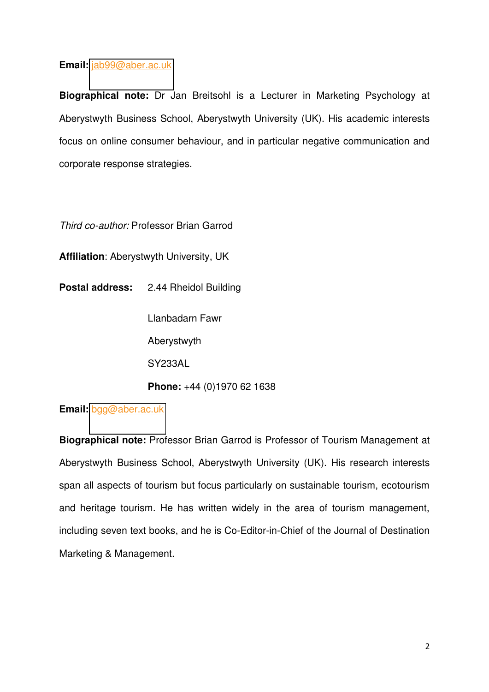# **Email:** [jab99@aber.ac.uk](mailto:jab99@aber.ac.uk)

**Biographical note:** Dr Jan Breitsohl is a Lecturer in Marketing Psychology at Aberystwyth Business School, Aberystwyth University (UK). His academic interests focus on online consumer behaviour, and in particular negative communication and corporate response strategies.

*Third co-author:* Professor Brian Garrod

**Affiliation**: Aberystwyth University, UK

**Postal address:** 2.44 Rheidol Building

Llanbadarn Fawr

Aberystwyth

SY233AL

**Phone:** +44 (0)1970 62 1638

**Email:** [bgg@aber.ac.uk](mailto:bgg@aber.ac.uk) 

**Biographical note:** Professor Brian Garrod is Professor of Tourism Management at Aberystwyth Business School, Aberystwyth University (UK). His research interests span all aspects of tourism but focus particularly on sustainable tourism, ecotourism and heritage tourism. He has written widely in the area of tourism management, including seven text books, and he is Co-Editor-in-Chief of the Journal of Destination Marketing & Management.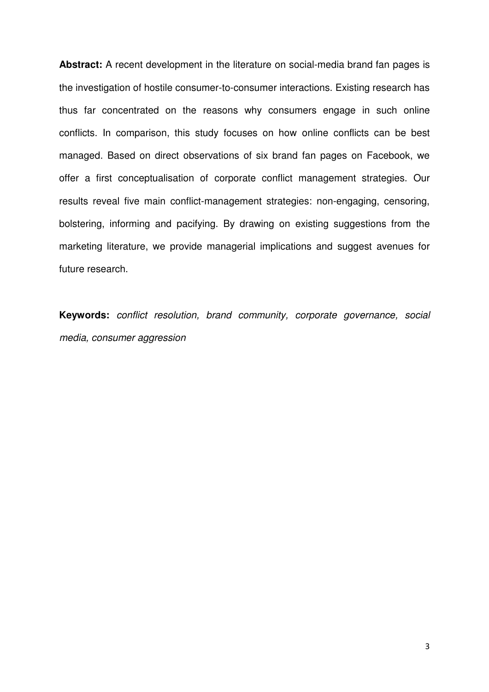**Abstract:** A recent development in the literature on social-media brand fan pages is the investigation of hostile consumer-to-consumer interactions. Existing research has thus far concentrated on the reasons why consumers engage in such online conflicts. In comparison, this study focuses on how online conflicts can be best managed. Based on direct observations of six brand fan pages on Facebook, we offer a first conceptualisation of corporate conflict management strategies. Our results reveal five main conflict-management strategies: non-engaging, censoring, bolstering, informing and pacifying. By drawing on existing suggestions from the marketing literature, we provide managerial implications and suggest avenues for future research.

**Keywords:** *conflict resolution, brand community, corporate governance, social media, consumer aggression*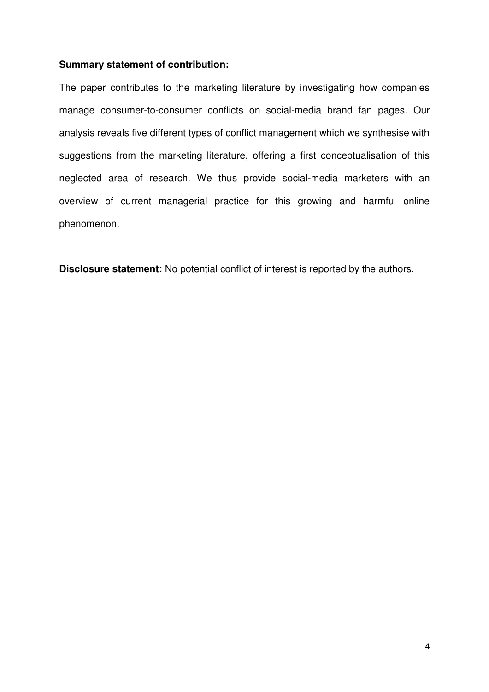# **Summary statement of contribution:**

The paper contributes to the marketing literature by investigating how companies manage consumer-to-consumer conflicts on social-media brand fan pages. Our analysis reveals five different types of conflict management which we synthesise with suggestions from the marketing literature, offering a first conceptualisation of this neglected area of research. We thus provide social-media marketers with an overview of current managerial practice for this growing and harmful online phenomenon.

**Disclosure statement:** No potential conflict of interest is reported by the authors.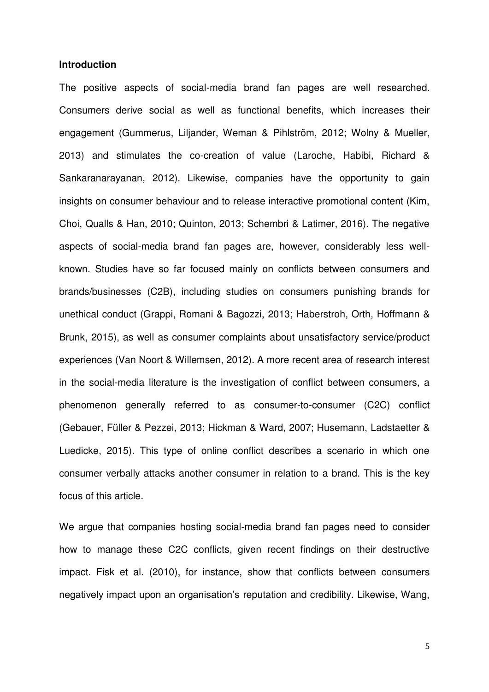### **Introduction**

The positive aspects of social-media brand fan pages are well researched. Consumers derive social as well as functional benefits, which increases their engagement (Gummerus, Liljander, Weman & Pihlström, 2012; Wolny & Mueller, 2013) and stimulates the co-creation of value (Laroche, Habibi, Richard & Sankaranarayanan, 2012). Likewise, companies have the opportunity to gain insights on consumer behaviour and to release interactive promotional content (Kim, Choi, Qualls & Han, 2010; Quinton, 2013; Schembri & Latimer, 2016). The negative aspects of social-media brand fan pages are, however, considerably less wellknown. Studies have so far focused mainly on conflicts between consumers and brands/businesses (C2B), including studies on consumers punishing brands for unethical conduct (Grappi, Romani & Bagozzi, 2013; Haberstroh, Orth, Hoffmann & Brunk, 2015), as well as consumer complaints about unsatisfactory service/product experiences (Van Noort & Willemsen, 2012). A more recent area of research interest in the social-media literature is the investigation of conflict between consumers, a phenomenon generally referred to as consumer-to-consumer (C2C) conflict (Gebauer, Füller & Pezzei, 2013; Hickman & Ward, 2007; Husemann, Ladstaetter & Luedicke, 2015). This type of online conflict describes a scenario in which one consumer verbally attacks another consumer in relation to a brand. This is the key focus of this article.

We argue that companies hosting social-media brand fan pages need to consider how to manage these C2C conflicts, given recent findings on their destructive impact. Fisk et al. (2010), for instance, show that conflicts between consumers negatively impact upon an organisation's reputation and credibility. Likewise, Wang,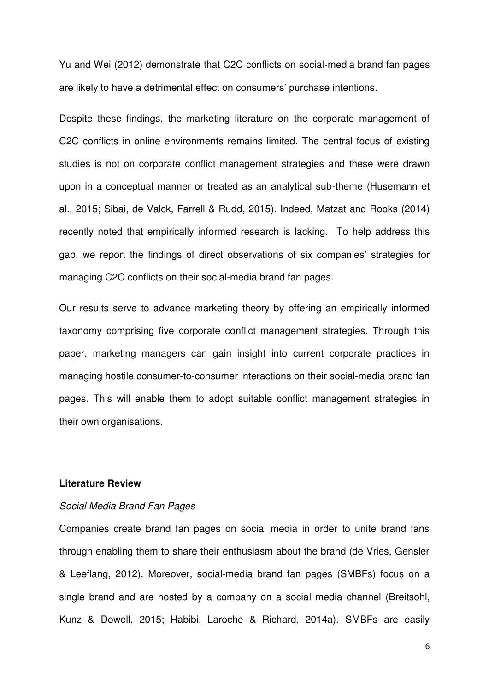Yu and Wei (2012) demonstrate that C2C conflicts on social-media brand fan pages are likely to have a detrimental effect on consumers' purchase intentions.

Despite these findings, the marketing literature on the corporate management of C2C conflicts in online environments remains limited. The central focus of existing studies is not on corporate conflict management strategies and these were drawn upon in a conceptual manner or treated as an analytical sub-theme (Husemann et al., 2015; Sibai, de Valck, Farrell & Rudd, 2015). Indeed, Matzat and Rooks (2014) recently noted that empirically informed research is lacking. To help address this gap, we report the findings of direct observations of six companies' strategies for managing C2C conflicts on their social-media brand fan pages.

Our results serve to advance marketing theory by offering an empirically informed taxonomy comprising five corporate conflict management strategies. Through this paper, marketing managers can gain insight into current corporate practices in managing hostile consumer-to-consumer interactions on their social-media brand fan pages. This will enable them to adopt suitable conflict management strategies in their own organisations.

## **Literature Review**

# *Social Media Brand Fan Pages*

Companies create brand fan pages on social media in order to unite brand fans through enabling them to share their enthusiasm about the brand (de Vries, Gensler & Leeflang, 2012). Moreover, social-media brand fan pages (SMBFs) focus on a single brand and are hosted by a company on a social media channel (Breitsohl, Kunz & Dowell, 2015; Habibi, Laroche & Richard, 2014a). SMBFs are easily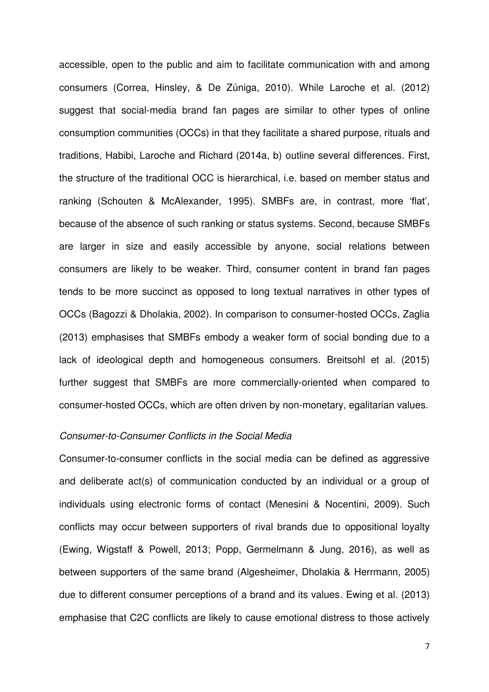accessible, open to the public and aim to facilitate communication with and among consumers (Correa, Hinsley, & De Zúniga, 2010). While Laroche et al. (2012) suggest that social-media brand fan pages are similar to other types of online consumption communities (OCCs) in that they facilitate a shared purpose, rituals and traditions, Habibi, Laroche and Richard (2014a, b) outline several differences. First, the structure of the traditional OCC is hierarchical, i.e. based on member status and ranking (Schouten & McAlexander, 1995). SMBFs are, in contrast, more 'flat', because of the absence of such ranking or status systems. Second, because SMBFs are larger in size and easily accessible by anyone, social relations between consumers are likely to be weaker. Third, consumer content in brand fan pages tends to be more succinct as opposed to long textual narratives in other types of OCCs (Bagozzi & Dholakia, 2002). In comparison to consumer-hosted OCCs, Zaglia (2013) emphasises that SMBFs embody a weaker form of social bonding due to a lack of ideological depth and homogeneous consumers. Breitsohl et al. (2015) further suggest that SMBFs are more commercially-oriented when compared to consumer-hosted OCCs, which are often driven by non-monetary, egalitarian values.

# *Consumer-to-Consumer Conflicts in the Social Media*

Consumer-to-consumer conflicts in the social media can be defined as aggressive and deliberate act(s) of communication conducted by an individual or a group of individuals using electronic forms of contact (Menesini & Nocentini, 2009). Such conflicts may occur between supporters of rival brands due to oppositional loyalty (Ewing, Wigstaff & Powell, 2013; Popp, Germelmann & Jung, 2016), as well as between supporters of the same brand (Algesheimer, Dholakia & Herrmann, 2005) due to different consumer perceptions of a brand and its values. Ewing et al. (2013) emphasise that C2C conflicts are likely to cause emotional distress to those actively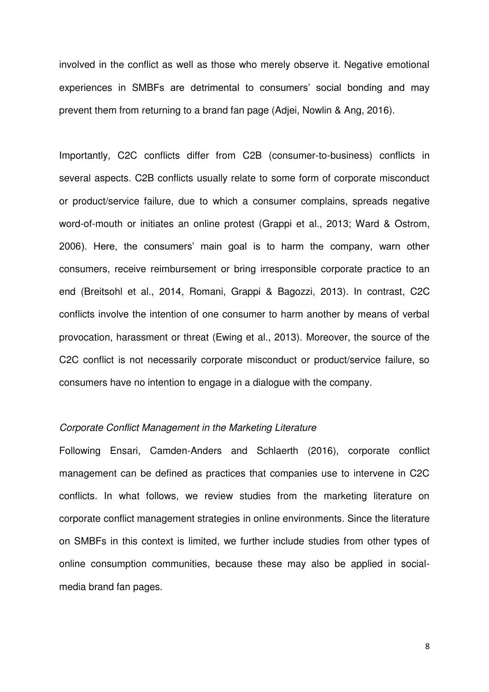involved in the conflict as well as those who merely observe it. Negative emotional experiences in SMBFs are detrimental to consumers' social bonding and may prevent them from returning to a brand fan page (Adjei, Nowlin & Ang, 2016).

Importantly, C2C conflicts differ from C2B (consumer-to-business) conflicts in several aspects. C2B conflicts usually relate to some form of corporate misconduct or product/service failure, due to which a consumer complains, spreads negative word-of-mouth or initiates an online protest (Grappi et al., 2013; Ward & Ostrom, 2006). Here, the consumers' main goal is to harm the company, warn other consumers, receive reimbursement or bring irresponsible corporate practice to an end (Breitsohl et al., 2014, Romani, Grappi & Bagozzi, 2013). In contrast, C2C conflicts involve the intention of one consumer to harm another by means of verbal provocation, harassment or threat (Ewing et al., 2013). Moreover, the source of the C2C conflict is not necessarily corporate misconduct or product/service failure, so consumers have no intention to engage in a dialogue with the company.

# *Corporate Conflict Management in the Marketing Literature*

Following Ensari, Camden-Anders and Schlaerth (2016), corporate conflict management can be defined as practices that companies use to intervene in C2C conflicts. In what follows, we review studies from the marketing literature on corporate conflict management strategies in online environments. Since the literature on SMBFs in this context is limited, we further include studies from other types of online consumption communities, because these may also be applied in socialmedia brand fan pages.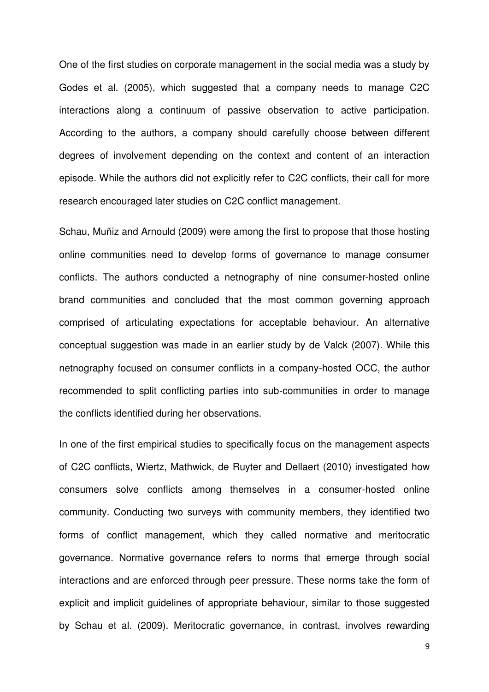One of the first studies on corporate management in the social media was a study by Godes et al. (2005), which suggested that a company needs to manage C2C interactions along a continuum of passive observation to active participation. According to the authors, a company should carefully choose between different degrees of involvement depending on the context and content of an interaction episode. While the authors did not explicitly refer to C2C conflicts, their call for more research encouraged later studies on C2C conflict management.

Schau, Muñiz and Arnould (2009) were among the first to propose that those hosting online communities need to develop forms of governance to manage consumer conflicts. The authors conducted a netnography of nine consumer-hosted online brand communities and concluded that the most common governing approach comprised of articulating expectations for acceptable behaviour. An alternative conceptual suggestion was made in an earlier study by de Valck (2007). While this netnography focused on consumer conflicts in a company-hosted OCC, the author recommended to split conflicting parties into sub-communities in order to manage the conflicts identified during her observations.

In one of the first empirical studies to specifically focus on the management aspects of C2C conflicts, Wiertz, Mathwick, de Ruyter and Dellaert (2010) investigated how consumers solve conflicts among themselves in a consumer-hosted online community. Conducting two surveys with community members, they identified two forms of conflict management, which they called normative and meritocratic governance. Normative governance refers to norms that emerge through social interactions and are enforced through peer pressure. These norms take the form of explicit and implicit guidelines of appropriate behaviour, similar to those suggested by Schau et al. (2009). Meritocratic governance, in contrast, involves rewarding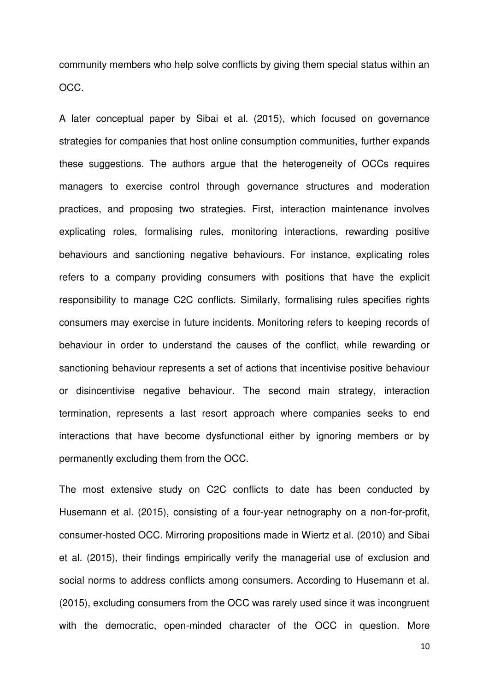community members who help solve conflicts by giving them special status within an OCC.

A later conceptual paper by Sibai et al. (2015), which focused on governance strategies for companies that host online consumption communities, further expands these suggestions. The authors argue that the heterogeneity of OCCs requires managers to exercise control through governance structures and moderation practices, and proposing two strategies. First, interaction maintenance involves explicating roles, formalising rules, monitoring interactions, rewarding positive behaviours and sanctioning negative behaviours. For instance, explicating roles refers to a company providing consumers with positions that have the explicit responsibility to manage C2C conflicts. Similarly, formalising rules specifies rights consumers may exercise in future incidents. Monitoring refers to keeping records of behaviour in order to understand the causes of the conflict, while rewarding or sanctioning behaviour represents a set of actions that incentivise positive behaviour or disincentivise negative behaviour. The second main strategy, interaction termination, represents a last resort approach where companies seeks to end interactions that have become dysfunctional either by ignoring members or by permanently excluding them from the OCC.

The most extensive study on C2C conflicts to date has been conducted by Husemann et al. (2015), consisting of a four-year netnography on a non-for-profit, consumer-hosted OCC. Mirroring propositions made in Wiertz et al. (2010) and Sibai et al. (2015), their findings empirically verify the managerial use of exclusion and social norms to address conflicts among consumers. According to Husemann et al. (2015), excluding consumers from the OCC was rarely used since it was incongruent with the democratic, open-minded character of the OCC in question. More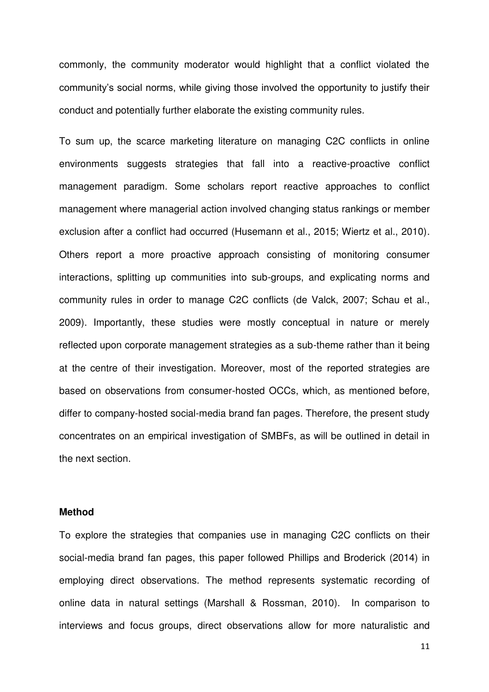commonly, the community moderator would highlight that a conflict violated the community's social norms, while giving those involved the opportunity to justify their conduct and potentially further elaborate the existing community rules.

To sum up, the scarce marketing literature on managing C2C conflicts in online environments suggests strategies that fall into a reactive-proactive conflict management paradigm. Some scholars report reactive approaches to conflict management where managerial action involved changing status rankings or member exclusion after a conflict had occurred (Husemann et al., 2015; Wiertz et al., 2010). Others report a more proactive approach consisting of monitoring consumer interactions, splitting up communities into sub-groups, and explicating norms and community rules in order to manage C2C conflicts (de Valck, 2007; Schau et al., 2009). Importantly, these studies were mostly conceptual in nature or merely reflected upon corporate management strategies as a sub-theme rather than it being at the centre of their investigation. Moreover, most of the reported strategies are based on observations from consumer-hosted OCCs, which, as mentioned before, differ to company-hosted social-media brand fan pages. Therefore, the present study concentrates on an empirical investigation of SMBFs, as will be outlined in detail in the next section.

# **Method**

To explore the strategies that companies use in managing C2C conflicts on their social-media brand fan pages, this paper followed Phillips and Broderick (2014) in employing direct observations. The method represents systematic recording of online data in natural settings (Marshall & Rossman, 2010). In comparison to interviews and focus groups, direct observations allow for more naturalistic and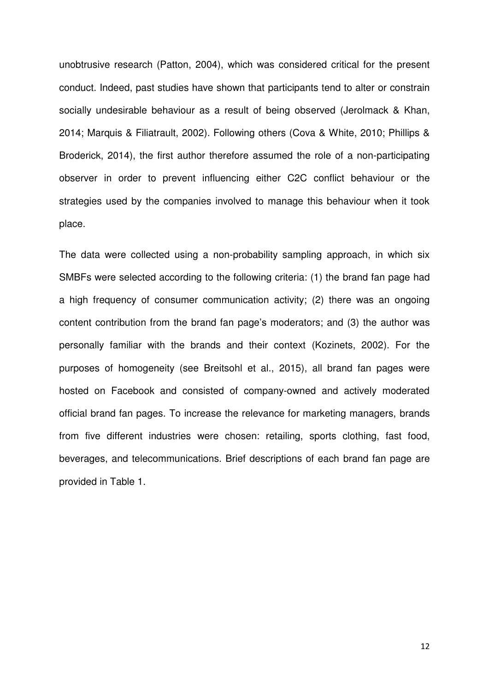unobtrusive research (Patton, 2004), which was considered critical for the present conduct. Indeed, past studies have shown that participants tend to alter or constrain socially undesirable behaviour as a result of being observed (Jerolmack & Khan, 2014; Marquis & Filiatrault, 2002). Following others (Cova & White, 2010; Phillips & Broderick, 2014), the first author therefore assumed the role of a non-participating observer in order to prevent influencing either C2C conflict behaviour or the strategies used by the companies involved to manage this behaviour when it took place.

The data were collected using a non-probability sampling approach, in which six SMBFs were selected according to the following criteria: (1) the brand fan page had a high frequency of consumer communication activity; (2) there was an ongoing content contribution from the brand fan page's moderators; and (3) the author was personally familiar with the brands and their context (Kozinets, 2002). For the purposes of homogeneity (see Breitsohl et al., 2015), all brand fan pages were hosted on Facebook and consisted of company-owned and actively moderated official brand fan pages. To increase the relevance for marketing managers, brands from five different industries were chosen: retailing, sports clothing, fast food, beverages, and telecommunications. Brief descriptions of each brand fan page are provided in Table 1.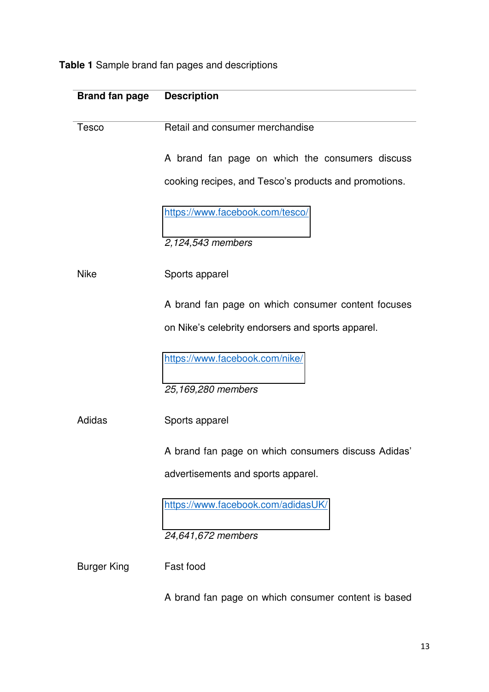**Table 1** Sample brand fan pages and descriptions

| <b>Brand fan page</b> | <b>Description</b>                                    |
|-----------------------|-------------------------------------------------------|
| <b>Tesco</b>          | Retail and consumer merchandise                       |
|                       | A brand fan page on which the consumers discuss       |
|                       | cooking recipes, and Tesco's products and promotions. |
|                       | https://www.facebook.com/tesco/                       |
|                       | 2,124,543 members                                     |
| <b>Nike</b>           | Sports apparel                                        |
|                       | A brand fan page on which consumer content focuses    |
|                       | on Nike's celebrity endorsers and sports apparel.     |
|                       | https://www.facebook.com/nike/                        |
|                       | 25,169,280 members                                    |
| Adidas                | Sports apparel                                        |
|                       | A brand fan page on which consumers discuss Adidas'   |
|                       | advertisements and sports apparel.                    |
|                       | https://www.facebook.com/adidasUK/                    |
|                       | 24,641,672 members                                    |
| <b>Burger King</b>    | Fast food                                             |
|                       | A brand fan page on which consumer content is based   |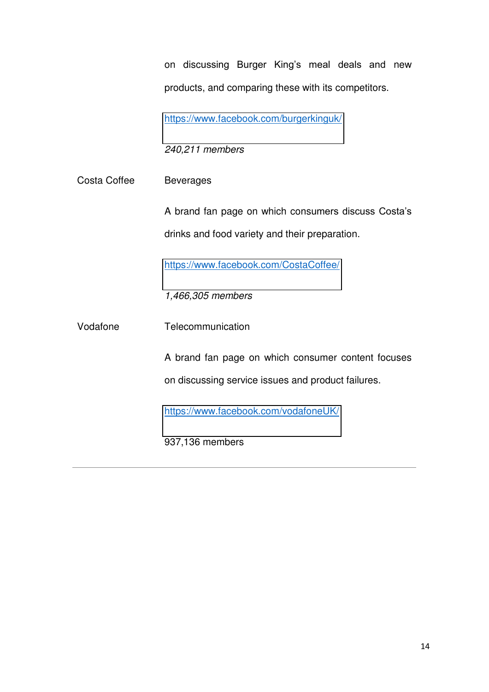on discussing Burger King's meal deals and new products, and comparing these with its competitors.

<https://www.facebook.com/burgerkinguk/>

*240,211 members* 

Costa Coffee Beverages

A brand fan page on which consumers discuss Costa's drinks and food variety and their preparation.

<https://www.facebook.com/CostaCoffee/>

*1,466,305 members* 

Vodafone Telecommunication

A brand fan page on which consumer content focuses on discussing service issues and product failures.

<https://www.facebook.com/vodafoneUK/>

937,136 members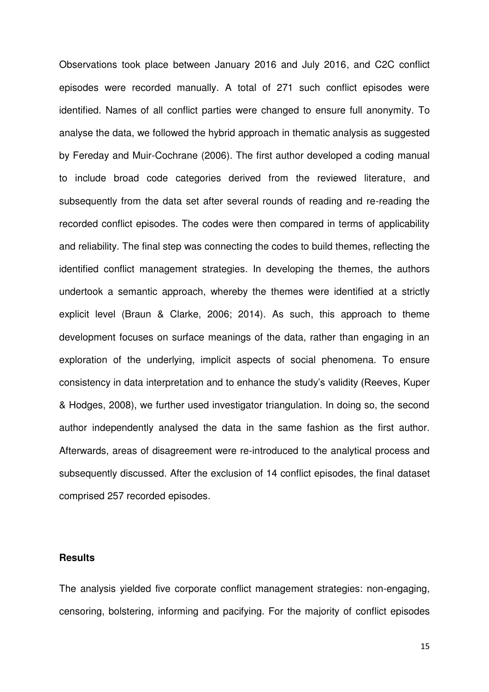Observations took place between January 2016 and July 2016, and C2C conflict episodes were recorded manually. A total of 271 such conflict episodes were identified. Names of all conflict parties were changed to ensure full anonymity. To analyse the data, we followed the hybrid approach in thematic analysis as suggested by Fereday and Muir-Cochrane (2006). The first author developed a coding manual to include broad code categories derived from the reviewed literature, and subsequently from the data set after several rounds of reading and re-reading the recorded conflict episodes. The codes were then compared in terms of applicability and reliability. The final step was connecting the codes to build themes, reflecting the identified conflict management strategies. In developing the themes, the authors undertook a semantic approach, whereby the themes were identified at a strictly explicit level (Braun & Clarke, 2006; 2014). As such, this approach to theme development focuses on surface meanings of the data, rather than engaging in an exploration of the underlying, implicit aspects of social phenomena. To ensure consistency in data interpretation and to enhance the study's validity (Reeves, Kuper & Hodges, 2008), we further used investigator triangulation. In doing so, the second author independently analysed the data in the same fashion as the first author. Afterwards, areas of disagreement were re-introduced to the analytical process and subsequently discussed. After the exclusion of 14 conflict episodes, the final dataset comprised 257 recorded episodes.

# **Results**

The analysis yielded five corporate conflict management strategies: non-engaging, censoring, bolstering, informing and pacifying. For the majority of conflict episodes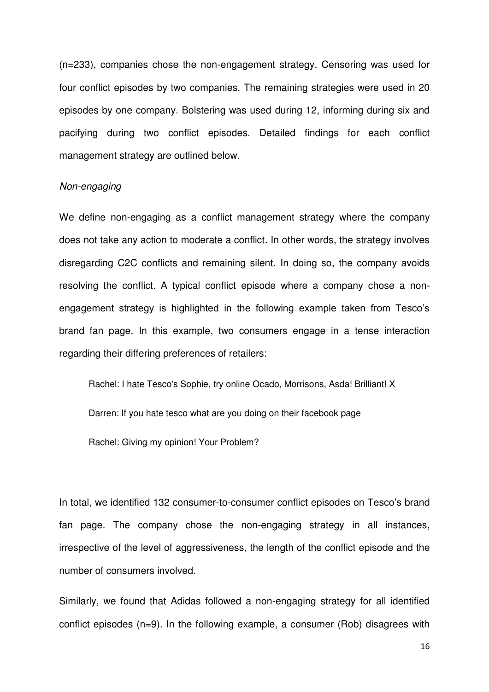(n=233), companies chose the non-engagement strategy. Censoring was used for four conflict episodes by two companies. The remaining strategies were used in 20 episodes by one company. Bolstering was used during 12, informing during six and pacifying during two conflict episodes. Detailed findings for each conflict management strategy are outlined below.

#### *Non-engaging*

We define non-engaging as a conflict management strategy where the company does not take any action to moderate a conflict. In other words, the strategy involves disregarding C2C conflicts and remaining silent. In doing so, the company avoids resolving the conflict. A typical conflict episode where a company chose a nonengagement strategy is highlighted in the following example taken from Tesco's brand fan page. In this example, two consumers engage in a tense interaction regarding their differing preferences of retailers:

Rachel: I hate Tesco's Sophie, try online Ocado, Morrisons, Asda! Brilliant! X

Darren: If you hate tesco what are you doing on their facebook page

Rachel: Giving my opinion! Your Problem?

In total, we identified 132 consumer-to-consumer conflict episodes on Tesco's brand fan page. The company chose the non-engaging strategy in all instances, irrespective of the level of aggressiveness, the length of the conflict episode and the number of consumers involved.

Similarly, we found that Adidas followed a non-engaging strategy for all identified conflict episodes (n=9). In the following example, a consumer (Rob) disagrees with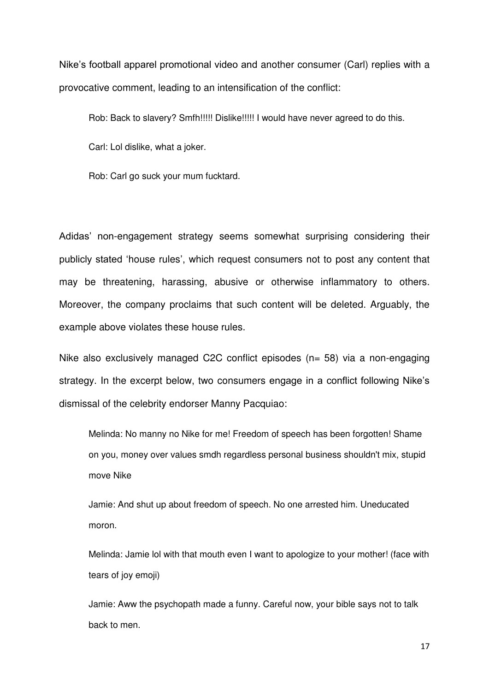Nike's football apparel promotional video and another consumer (Carl) replies with a provocative comment, leading to an intensification of the conflict:

Rob: Back to slavery? Smfh!!!!! Dislike!!!!! I would have never agreed to do this.

Carl: Lol dislike, what a joker.

Rob: Carl go suck your mum fucktard.

Adidas' non-engagement strategy seems somewhat surprising considering their publicly stated 'house rules', which request consumers not to post any content that may be threatening, harassing, abusive or otherwise inflammatory to others. Moreover, the company proclaims that such content will be deleted. Arguably, the example above violates these house rules.

Nike also exclusively managed C2C conflict episodes (n= 58) via a non-engaging strategy. In the excerpt below, two consumers engage in a conflict following Nike's dismissal of the celebrity endorser Manny Pacquiao:

Melinda: No manny no Nike for me! Freedom of speech has been forgotten! Shame on you, money over values smdh regardless personal business shouldn't mix, stupid move Nike

Jamie: And shut up about freedom of speech. No one arrested him. Uneducated moron.

Melinda: Jamie lol with that mouth even I want to apologize to your mother! (face with tears of joy emoji)

Jamie: Aww the psychopath made a funny. Careful now, your bible says not to talk back to men.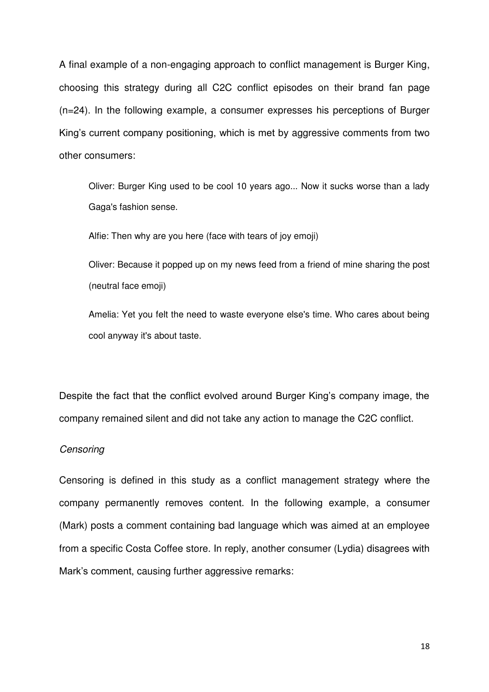A final example of a non-engaging approach to conflict management is Burger King, choosing this strategy during all C2C conflict episodes on their brand fan page (n=24). In the following example, a consumer expresses his perceptions of Burger King's current company positioning, which is met by aggressive comments from two other consumers:

Oliver: Burger King used to be cool 10 years ago... Now it sucks worse than a lady Gaga's fashion sense.

Alfie: Then why are you here (face with tears of joy emoji)

Oliver: Because it popped up on my news feed from a friend of mine sharing the post (neutral face emoji)

Amelia: Yet you felt the need to waste everyone else's time. Who cares about being cool anyway it's about taste.

Despite the fact that the conflict evolved around Burger King's company image, the company remained silent and did not take any action to manage the C2C conflict.

#### *Censoring*

Censoring is defined in this study as a conflict management strategy where the company permanently removes content. In the following example, a consumer (Mark) posts a comment containing bad language which was aimed at an employee from a specific Costa Coffee store. In reply, another consumer (Lydia) disagrees with Mark's comment, causing further aggressive remarks: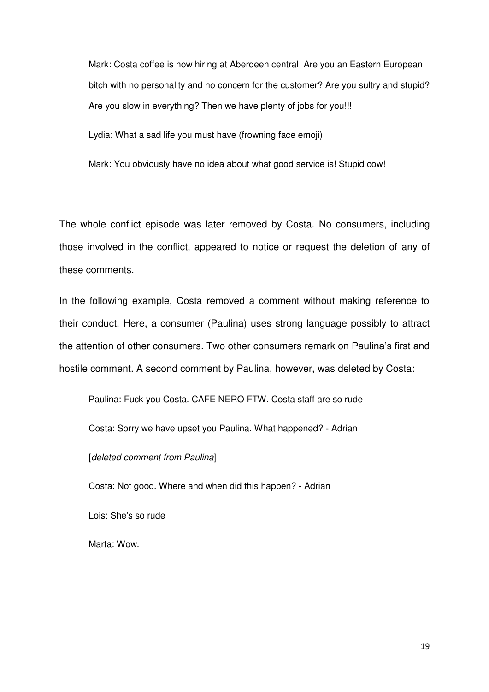Mark: Costa coffee is now hiring at Aberdeen central! Are you an Eastern European bitch with no personality and no concern for the customer? Are you sultry and stupid? Are you slow in everything? Then we have plenty of jobs for you!!!

Lydia: What a sad life you must have (frowning face emoji)

Mark: You obviously have no idea about what good service is! Stupid cow!

The whole conflict episode was later removed by Costa. No consumers, including those involved in the conflict, appeared to notice or request the deletion of any of these comments.

In the following example, Costa removed a comment without making reference to their conduct. Here, a consumer (Paulina) uses strong language possibly to attract the attention of other consumers. Two other consumers remark on Paulina's first and hostile comment. A second comment by Paulina, however, was deleted by Costa:

Paulina: Fuck you Costa. CAFE NERO FTW. Costa staff are so rude

Costa: Sorry we have upset you Paulina. What happened? - Adrian

[*deleted comment from Paulina*]

Costa: Not good. Where and when did this happen? - Adrian

Lois: She's so rude

Marta: Wow.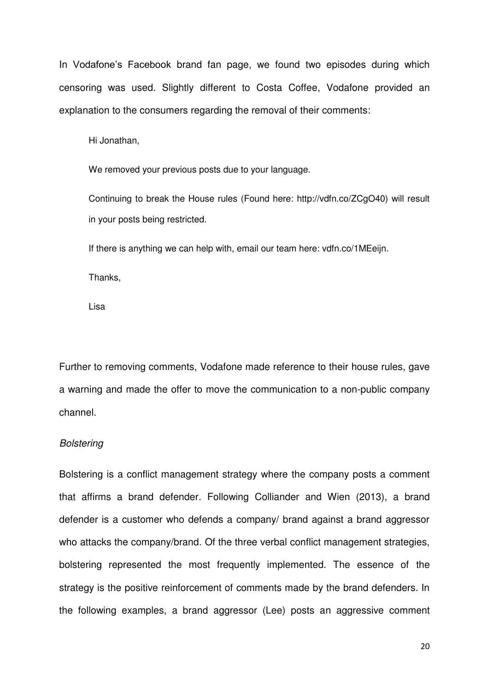In Vodafone's Facebook brand fan page, we found two episodes during which censoring was used. Slightly different to Costa Coffee, Vodafone provided an explanation to the consumers regarding the removal of their comments:

Hi Jonathan,

We removed your previous posts due to your language.

Continuing to break the House rules (Found here: http://vdfn.co/ZCgO40) will result in your posts being restricted.

If there is anything we can help with, email our team here: vdfn.co/1MEeijn.

Thanks,

Lisa

Further to removing comments, Vodafone made reference to their house rules, gave a warning and made the offer to move the communication to a non-public company channel.

#### *Bolstering*

Bolstering is a conflict management strategy where the company posts a comment that affirms a brand defender. Following Colliander and Wien (2013), a brand defender is a customer who defends a company/ brand against a brand aggressor who attacks the company/brand. Of the three verbal conflict management strategies, bolstering represented the most frequently implemented. The essence of the strategy is the positive reinforcement of comments made by the brand defenders. In the following examples, a brand aggressor (Lee) posts an aggressive comment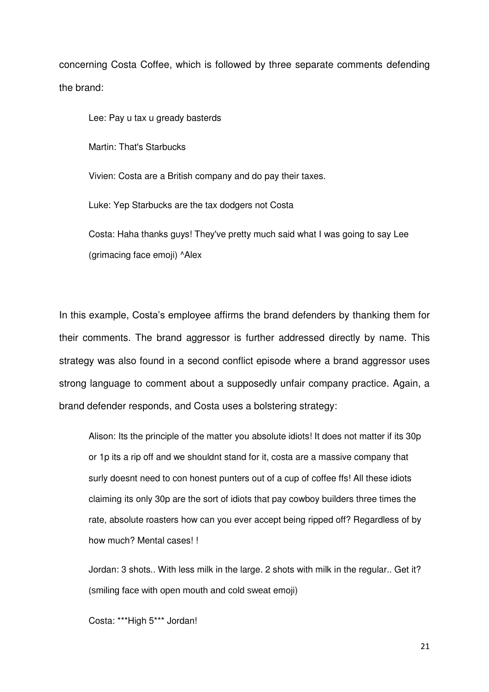concerning Costa Coffee, which is followed by three separate comments defending the brand:

Lee: Pay u tax u gready basterds

Martin: That's Starbucks

Vivien: Costa are a British company and do pay their taxes.

Luke: Yep Starbucks are the tax dodgers not Costa

Costa: Haha thanks guys! They've pretty much said what I was going to say Lee (grimacing face emoji) ^Alex

In this example, Costa's employee affirms the brand defenders by thanking them for their comments. The brand aggressor is further addressed directly by name. This strategy was also found in a second conflict episode where a brand aggressor uses strong language to comment about a supposedly unfair company practice. Again, a brand defender responds, and Costa uses a bolstering strategy:

Alison: Its the principle of the matter you absolute idiots! It does not matter if its 30p or 1p its a rip off and we shouldnt stand for it, costa are a massive company that surly doesnt need to con honest punters out of a cup of coffee ffs! All these idiots claiming its only 30p are the sort of idiots that pay cowboy builders three times the rate, absolute roasters how can you ever accept being ripped off? Regardless of by how much? Mental cases! !

Jordan: 3 shots.. With less milk in the large. 2 shots with milk in the regular.. Get it? (smiling face with open mouth and cold sweat emoji)

Costa: \*\*\*High 5\*\*\* Jordan!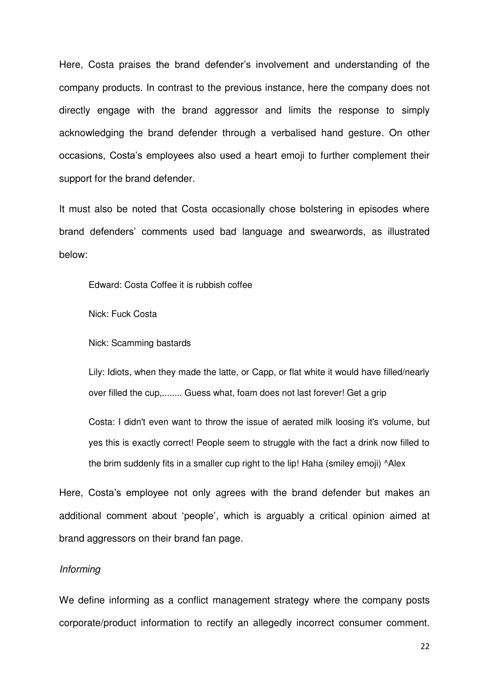Here, Costa praises the brand defender's involvement and understanding of the company products. In contrast to the previous instance, here the company does not directly engage with the brand aggressor and limits the response to simply acknowledging the brand defender through a verbalised hand gesture. On other occasions, Costa's employees also used a heart emoji to further complement their support for the brand defender.

It must also be noted that Costa occasionally chose bolstering in episodes where brand defenders' comments used bad language and swearwords, as illustrated below:

Edward: Costa Coffee it is rubbish coffee

Nick: Fuck Costa

Nick: Scamming bastards

Lily: Idiots, when they made the latte, or Capp, or flat white it would have filled/nearly over filled the cup,........ Guess what, foam does not last forever! Get a grip

Costa: I didn't even want to throw the issue of aerated milk loosing it's volume, but yes this is exactly correct! People seem to struggle with the fact a drink now filled to the brim suddenly fits in a smaller cup right to the lip! Haha (smiley emoji) ^Alex

Here, Costa's employee not only agrees with the brand defender but makes an additional comment about 'people', which is arguably a critical opinion aimed at brand aggressors on their brand fan page.

#### *Informing*

We define informing as a conflict management strategy where the company posts corporate/product information to rectify an allegedly incorrect consumer comment.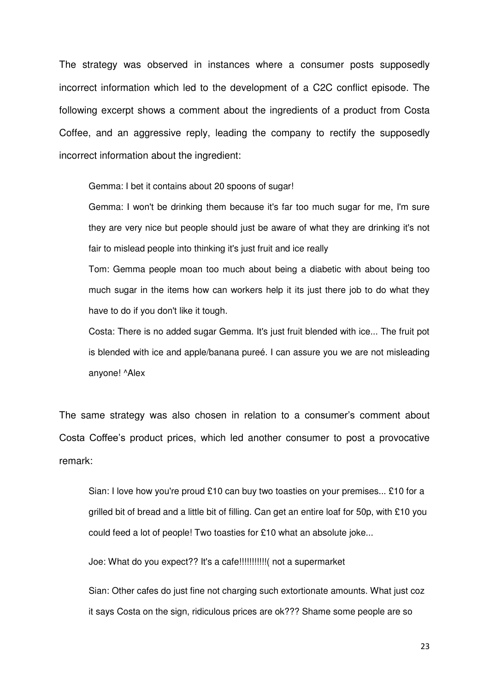The strategy was observed in instances where a consumer posts supposedly incorrect information which led to the development of a C2C conflict episode. The following excerpt shows a comment about the ingredients of a product from Costa Coffee, and an aggressive reply, leading the company to rectify the supposedly incorrect information about the ingredient:

Gemma: I bet it contains about 20 spoons of sugar!

Gemma: I won't be drinking them because it's far too much sugar for me, I'm sure they are very nice but people should just be aware of what they are drinking it's not fair to mislead people into thinking it's just fruit and ice really

Tom: Gemma people moan too much about being a diabetic with about being too much sugar in the items how can workers help it its just there job to do what they have to do if you don't like it tough.

Costa: There is no added sugar Gemma. It's just fruit blended with ice... The fruit pot is blended with ice and apple/banana pureé. I can assure you we are not misleading anyone! ^Alex

The same strategy was also chosen in relation to a consumer's comment about Costa Coffee's product prices, which led another consumer to post a provocative remark:

Sian: I love how you're proud £10 can buy two toasties on your premises... £10 for a grilled bit of bread and a little bit of filling. Can get an entire loaf for 50p, with £10 you could feed a lot of people! Two toasties for £10 what an absolute joke...

Joe: What do you expect?? It's a cafe!!!!!!!!!!!( not a supermarket

Sian: Other cafes do just fine not charging such extortionate amounts. What just coz it says Costa on the sign, ridiculous prices are ok??? Shame some people are so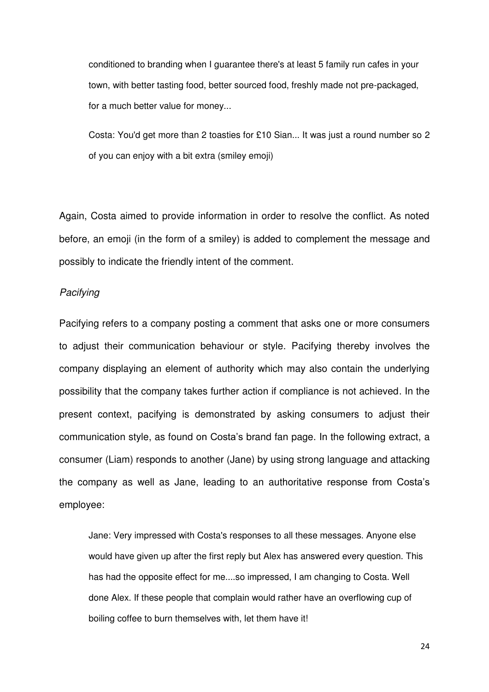conditioned to branding when I guarantee there's at least 5 family run cafes in your town, with better tasting food, better sourced food, freshly made not pre-packaged, for a much better value for money...

Costa: You'd get more than 2 toasties for £10 Sian... It was just a round number so 2 of you can enjoy with a bit extra (smiley emoji)

Again, Costa aimed to provide information in order to resolve the conflict. As noted before, an emoji (in the form of a smiley) is added to complement the message and possibly to indicate the friendly intent of the comment.

# *Pacifying*

Pacifying refers to a company posting a comment that asks one or more consumers to adjust their communication behaviour or style. Pacifying thereby involves the company displaying an element of authority which may also contain the underlying possibility that the company takes further action if compliance is not achieved. In the present context, pacifying is demonstrated by asking consumers to adjust their communication style, as found on Costa's brand fan page. In the following extract, a consumer (Liam) responds to another (Jane) by using strong language and attacking the company as well as Jane, leading to an authoritative response from Costa's employee:

Jane: Very impressed with Costa's responses to all these messages. Anyone else would have given up after the first reply but Alex has answered every question. This has had the opposite effect for me....so impressed, I am changing to Costa. Well done Alex. If these people that complain would rather have an overflowing cup of boiling coffee to burn themselves with, let them have it!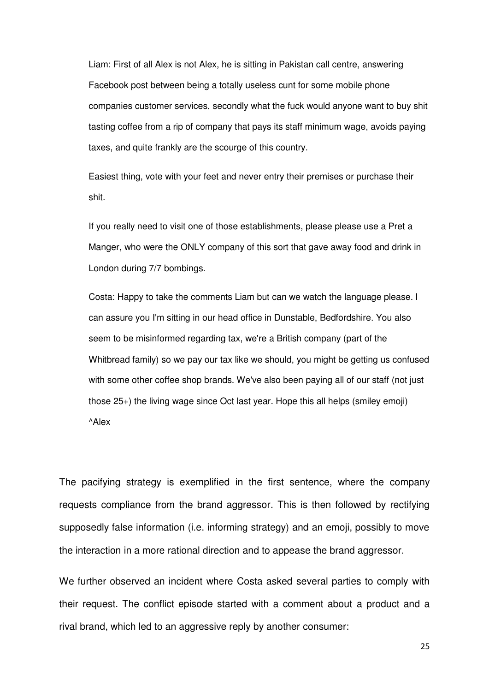Liam: First of all Alex is not Alex, he is sitting in Pakistan call centre, answering Facebook post between being a totally useless cunt for some mobile phone companies customer services, secondly what the fuck would anyone want to buy shit tasting coffee from a rip of company that pays its staff minimum wage, avoids paying taxes, and quite frankly are the scourge of this country.

Easiest thing, vote with your feet and never entry their premises or purchase their shit.

If you really need to visit one of those establishments, please please use a Pret a Manger, who were the ONLY company of this sort that gave away food and drink in London during 7/7 bombings.

Costa: Happy to take the comments Liam but can we watch the language please. I can assure you I'm sitting in our head office in Dunstable, Bedfordshire. You also seem to be misinformed regarding tax, we're a British company (part of the Whitbread family) so we pay our tax like we should, you might be getting us confused with some other coffee shop brands. We've also been paying all of our staff (not just those 25+) the living wage since Oct last year. Hope this all helps (smiley emoji) ^Alex

The pacifying strategy is exemplified in the first sentence, where the company requests compliance from the brand aggressor. This is then followed by rectifying supposedly false information (i.e. informing strategy) and an emoji, possibly to move the interaction in a more rational direction and to appease the brand aggressor.

We further observed an incident where Costa asked several parties to comply with their request. The conflict episode started with a comment about a product and a rival brand, which led to an aggressive reply by another consumer: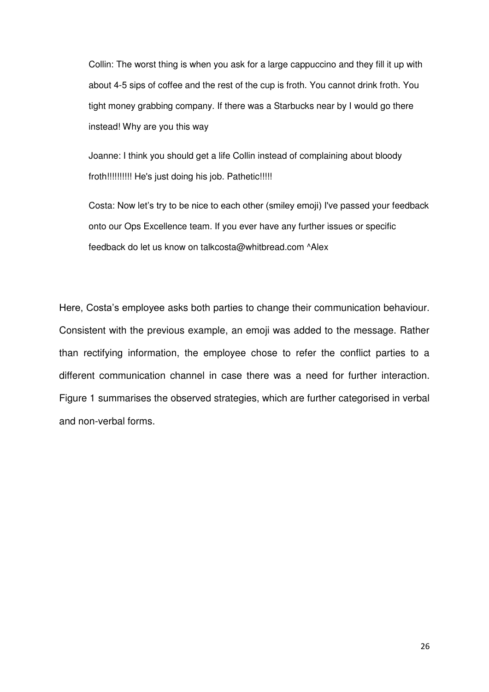Collin: The worst thing is when you ask for a large cappuccino and they fill it up with about 4-5 sips of coffee and the rest of the cup is froth. You cannot drink froth. You tight money grabbing company. If there was a Starbucks near by I would go there instead! Why are you this way

Joanne: I think you should get a life Collin instead of complaining about bloody froth!!!!!!!!!!! He's just doing his job. Pathetic!!!!!

Costa: Now let's try to be nice to each other (smiley emoji) I've passed your feedback onto our Ops Excellence team. If you ever have any further issues or specific feedback do let us know on talkcosta@whitbread.com ^Alex

Here, Costa's employee asks both parties to change their communication behaviour. Consistent with the previous example, an emoji was added to the message. Rather than rectifying information, the employee chose to refer the conflict parties to a different communication channel in case there was a need for further interaction. Figure 1 summarises the observed strategies, which are further categorised in verbal and non-verbal forms.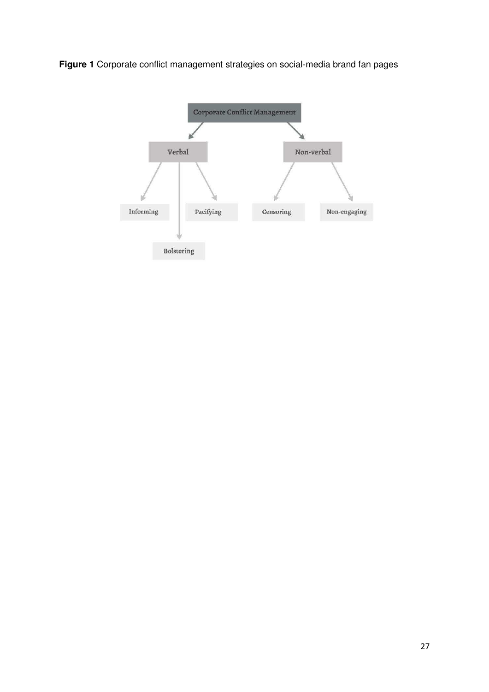**Figure 1** Corporate conflict management strategies on social-media brand fan pages

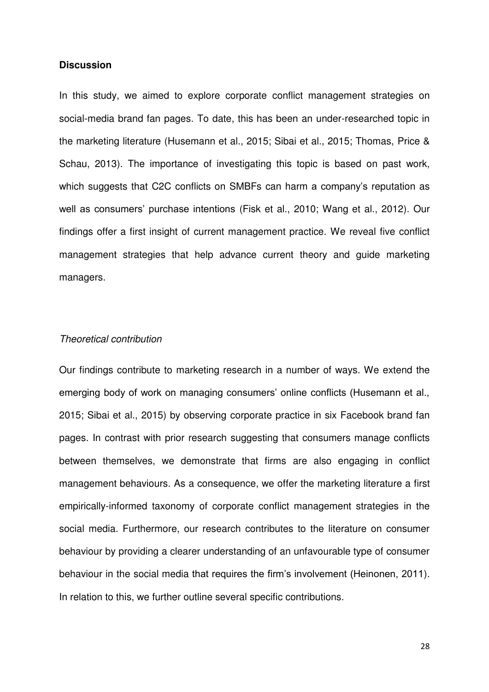# **Discussion**

In this study, we aimed to explore corporate conflict management strategies on social-media brand fan pages. To date, this has been an under-researched topic in the marketing literature (Husemann et al., 2015; Sibai et al., 2015; Thomas, Price & Schau, 2013). The importance of investigating this topic is based on past work, which suggests that C2C conflicts on SMBFs can harm a company's reputation as well as consumers' purchase intentions (Fisk et al., 2010; Wang et al., 2012). Our findings offer a first insight of current management practice. We reveal five conflict management strategies that help advance current theory and guide marketing managers.

### *Theoretical contribution*

Our findings contribute to marketing research in a number of ways. We extend the emerging body of work on managing consumers' online conflicts (Husemann et al., 2015; Sibai et al., 2015) by observing corporate practice in six Facebook brand fan pages. In contrast with prior research suggesting that consumers manage conflicts between themselves, we demonstrate that firms are also engaging in conflict management behaviours. As a consequence, we offer the marketing literature a first empirically-informed taxonomy of corporate conflict management strategies in the social media. Furthermore, our research contributes to the literature on consumer behaviour by providing a clearer understanding of an unfavourable type of consumer behaviour in the social media that requires the firm's involvement (Heinonen, 2011). In relation to this, we further outline several specific contributions.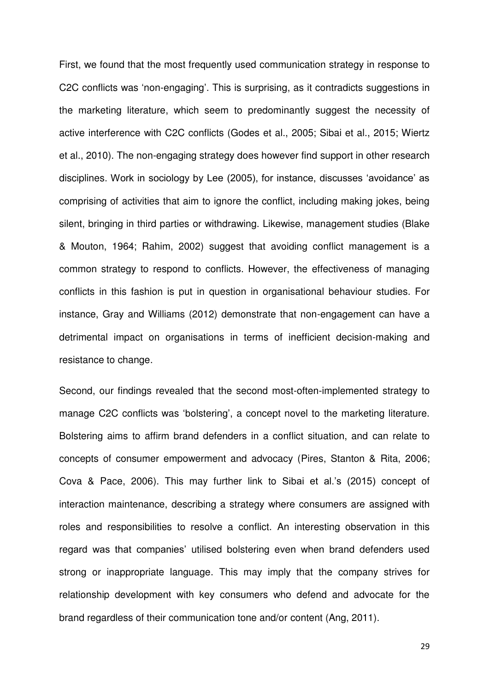First, we found that the most frequently used communication strategy in response to C2C conflicts was 'non-engaging'. This is surprising, as it contradicts suggestions in the marketing literature, which seem to predominantly suggest the necessity of active interference with C2C conflicts (Godes et al., 2005; Sibai et al., 2015; Wiertz et al., 2010). The non-engaging strategy does however find support in other research disciplines. Work in sociology by Lee (2005), for instance, discusses 'avoidance' as comprising of activities that aim to ignore the conflict, including making jokes, being silent, bringing in third parties or withdrawing. Likewise, management studies (Blake & Mouton, 1964; Rahim, 2002) suggest that avoiding conflict management is a common strategy to respond to conflicts. However, the effectiveness of managing conflicts in this fashion is put in question in organisational behaviour studies. For instance, Gray and Williams (2012) demonstrate that non-engagement can have a detrimental impact on organisations in terms of inefficient decision-making and resistance to change.

Second, our findings revealed that the second most-often-implemented strategy to manage C2C conflicts was 'bolstering', a concept novel to the marketing literature. Bolstering aims to affirm brand defenders in a conflict situation, and can relate to concepts of consumer empowerment and advocacy (Pires, Stanton & Rita, 2006; Cova & Pace, 2006). This may further link to Sibai et al.'s (2015) concept of interaction maintenance, describing a strategy where consumers are assigned with roles and responsibilities to resolve a conflict. An interesting observation in this regard was that companies' utilised bolstering even when brand defenders used strong or inappropriate language. This may imply that the company strives for relationship development with key consumers who defend and advocate for the brand regardless of their communication tone and/or content (Ang, 2011).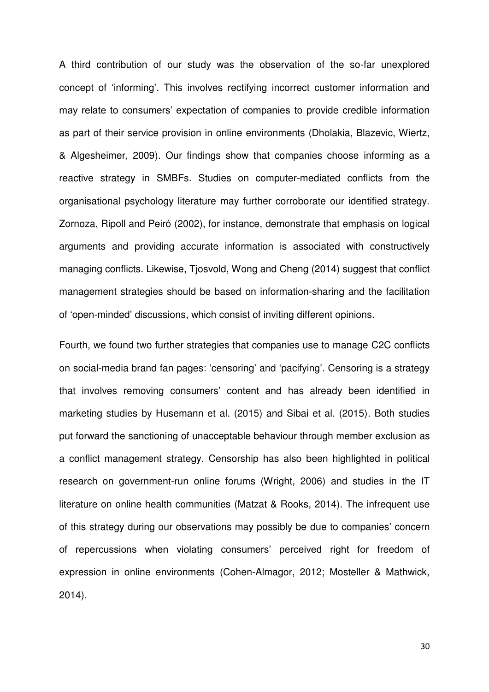A third contribution of our study was the observation of the so-far unexplored concept of 'informing'. This involves rectifying incorrect customer information and may relate to consumers' expectation of companies to provide credible information as part of their service provision in online environments (Dholakia, Blazevic, Wiertz, & Algesheimer, 2009). Our findings show that companies choose informing as a reactive strategy in SMBFs. Studies on computer-mediated conflicts from the organisational psychology literature may further corroborate our identified strategy. Zornoza, Ripoll and Peiró (2002), for instance, demonstrate that emphasis on logical arguments and providing accurate information is associated with constructively managing conflicts. Likewise, Tjosvold, Wong and Cheng (2014) suggest that conflict management strategies should be based on information-sharing and the facilitation of 'open-minded' discussions, which consist of inviting different opinions.

Fourth, we found two further strategies that companies use to manage C2C conflicts on social-media brand fan pages: 'censoring' and 'pacifying'. Censoring is a strategy that involves removing consumers' content and has already been identified in marketing studies by Husemann et al. (2015) and Sibai et al. (2015). Both studies put forward the sanctioning of unacceptable behaviour through member exclusion as a conflict management strategy. Censorship has also been highlighted in political research on government-run online forums (Wright, 2006) and studies in the IT literature on online health communities (Matzat & Rooks, 2014). The infrequent use of this strategy during our observations may possibly be due to companies' concern of repercussions when violating consumers' perceived right for freedom of expression in online environments (Cohen-Almagor, 2012; Mosteller & Mathwick, 2014).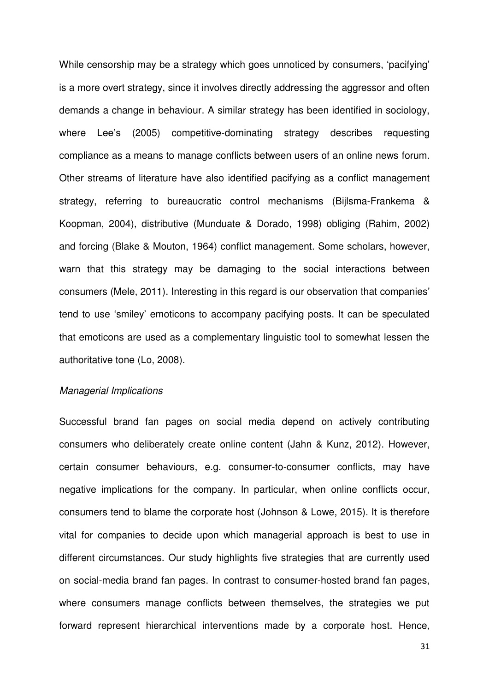While censorship may be a strategy which goes unnoticed by consumers, 'pacifying' is a more overt strategy, since it involves directly addressing the aggressor and often demands a change in behaviour. A similar strategy has been identified in sociology, where Lee's (2005) competitive-dominating strategy describes requesting compliance as a means to manage conflicts between users of an online news forum. Other streams of literature have also identified pacifying as a conflict management strategy, referring to bureaucratic control mechanisms (Bijlsma-Frankema & Koopman, 2004), distributive (Munduate & Dorado, 1998) obliging (Rahim, 2002) and forcing (Blake & Mouton, 1964) conflict management. Some scholars, however, warn that this strategy may be damaging to the social interactions between consumers (Mele, 2011). Interesting in this regard is our observation that companies' tend to use 'smiley' emoticons to accompany pacifying posts. It can be speculated that emoticons are used as a complementary linguistic tool to somewhat lessen the authoritative tone (Lo, 2008).

### *Managerial Implications*

Successful brand fan pages on social media depend on actively contributing consumers who deliberately create online content (Jahn & Kunz, 2012). However, certain consumer behaviours, e.g. consumer-to-consumer conflicts, may have negative implications for the company. In particular, when online conflicts occur, consumers tend to blame the corporate host (Johnson & Lowe, 2015). It is therefore vital for companies to decide upon which managerial approach is best to use in different circumstances. Our study highlights five strategies that are currently used on social-media brand fan pages. In contrast to consumer-hosted brand fan pages, where consumers manage conflicts between themselves, the strategies we put forward represent hierarchical interventions made by a corporate host. Hence,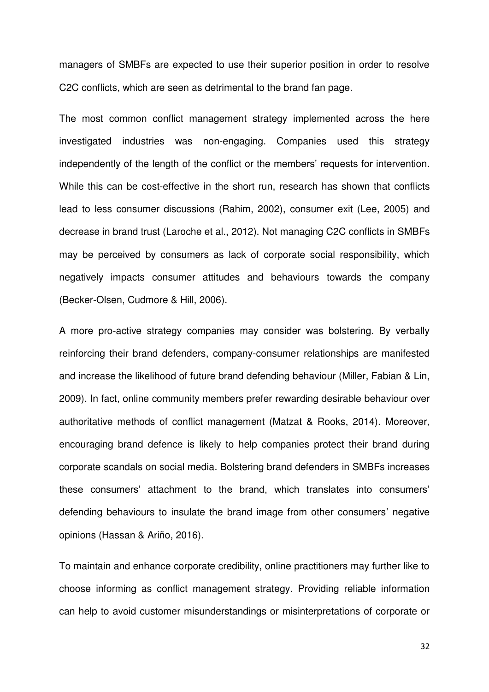managers of SMBFs are expected to use their superior position in order to resolve C2C conflicts, which are seen as detrimental to the brand fan page.

The most common conflict management strategy implemented across the here investigated industries was non-engaging. Companies used this strategy independently of the length of the conflict or the members' requests for intervention. While this can be cost-effective in the short run, research has shown that conflicts lead to less consumer discussions (Rahim, 2002), consumer exit (Lee, 2005) and decrease in brand trust (Laroche et al., 2012). Not managing C2C conflicts in SMBFs may be perceived by consumers as lack of corporate social responsibility, which negatively impacts consumer attitudes and behaviours towards the company (Becker-Olsen, Cudmore & Hill, 2006).

A more pro-active strategy companies may consider was bolstering. By verbally reinforcing their brand defenders, company-consumer relationships are manifested and increase the likelihood of future brand defending behaviour (Miller, Fabian & Lin, 2009). In fact, online community members prefer rewarding desirable behaviour over authoritative methods of conflict management (Matzat & Rooks, 2014). Moreover, encouraging brand defence is likely to help companies protect their brand during corporate scandals on social media. Bolstering brand defenders in SMBFs increases these consumers' attachment to the brand, which translates into consumers' defending behaviours to insulate the brand image from other consumers' negative opinions (Hassan & Ariño, 2016).

To maintain and enhance corporate credibility, online practitioners may further like to choose informing as conflict management strategy. Providing reliable information can help to avoid customer misunderstandings or misinterpretations of corporate or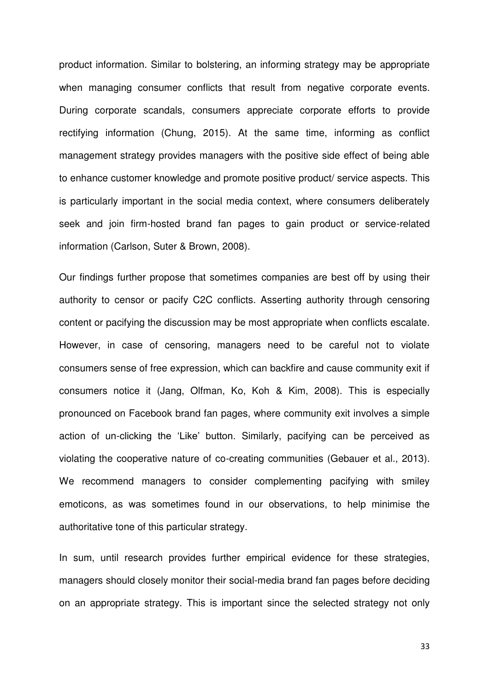product information. Similar to bolstering, an informing strategy may be appropriate when managing consumer conflicts that result from negative corporate events. During corporate scandals, consumers appreciate corporate efforts to provide rectifying information (Chung, 2015). At the same time, informing as conflict management strategy provides managers with the positive side effect of being able to enhance customer knowledge and promote positive product/ service aspects. This is particularly important in the social media context, where consumers deliberately seek and join firm-hosted brand fan pages to gain product or service-related information (Carlson, Suter & Brown, 2008).

Our findings further propose that sometimes companies are best off by using their authority to censor or pacify C2C conflicts. Asserting authority through censoring content or pacifying the discussion may be most appropriate when conflicts escalate. However, in case of censoring, managers need to be careful not to violate consumers sense of free expression, which can backfire and cause community exit if consumers notice it (Jang, Olfman, Ko, Koh & Kim, 2008). This is especially pronounced on Facebook brand fan pages, where community exit involves a simple action of un-clicking the 'Like' button. Similarly, pacifying can be perceived as violating the cooperative nature of co-creating communities (Gebauer et al., 2013). We recommend managers to consider complementing pacifying with smiley emoticons, as was sometimes found in our observations, to help minimise the authoritative tone of this particular strategy.

In sum, until research provides further empirical evidence for these strategies, managers should closely monitor their social-media brand fan pages before deciding on an appropriate strategy. This is important since the selected strategy not only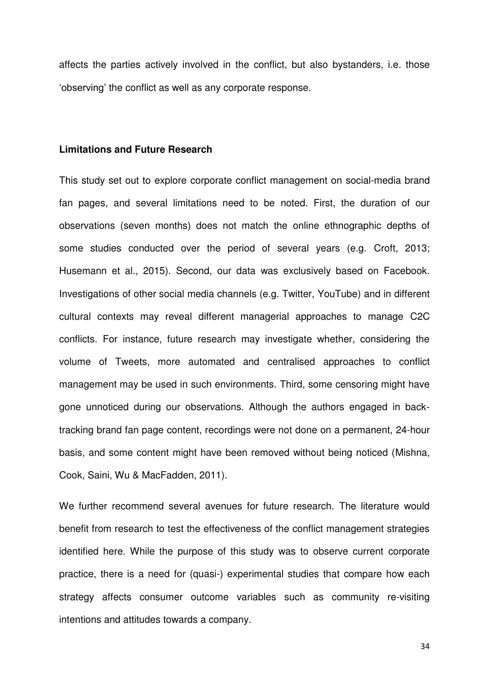affects the parties actively involved in the conflict, but also bystanders, i.e. those 'observing' the conflict as well as any corporate response.

### **Limitations and Future Research**

This study set out to explore corporate conflict management on social-media brand fan pages, and several limitations need to be noted. First, the duration of our observations (seven months) does not match the online ethnographic depths of some studies conducted over the period of several years (e.g. Croft, 2013; Husemann et al., 2015). Second, our data was exclusively based on Facebook. Investigations of other social media channels (e.g. Twitter, YouTube) and in different cultural contexts may reveal different managerial approaches to manage C2C conflicts. For instance, future research may investigate whether, considering the volume of Tweets, more automated and centralised approaches to conflict management may be used in such environments. Third, some censoring might have gone unnoticed during our observations. Although the authors engaged in backtracking brand fan page content, recordings were not done on a permanent, 24-hour basis, and some content might have been removed without being noticed (Mishna, Cook, Saini, Wu & MacFadden, 2011).

We further recommend several avenues for future research. The literature would benefit from research to test the effectiveness of the conflict management strategies identified here. While the purpose of this study was to observe current corporate practice, there is a need for (quasi-) experimental studies that compare how each strategy affects consumer outcome variables such as community re-visiting intentions and attitudes towards a company.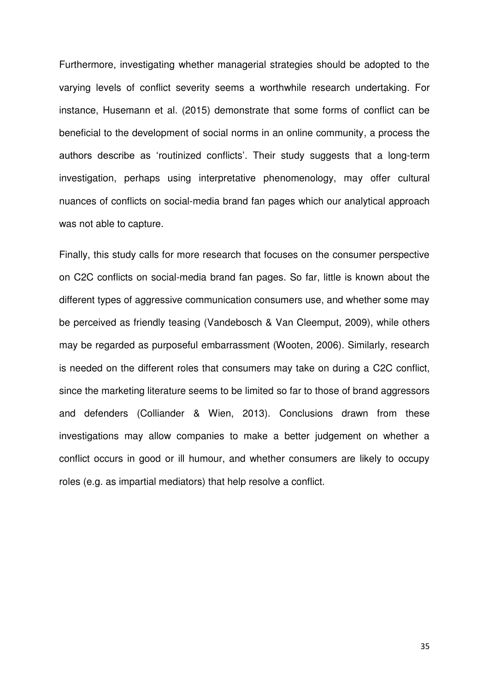Furthermore, investigating whether managerial strategies should be adopted to the varying levels of conflict severity seems a worthwhile research undertaking. For instance, Husemann et al. (2015) demonstrate that some forms of conflict can be beneficial to the development of social norms in an online community, a process the authors describe as 'routinized conflicts'. Their study suggests that a long-term investigation, perhaps using interpretative phenomenology, may offer cultural nuances of conflicts on social-media brand fan pages which our analytical approach was not able to capture.

Finally, this study calls for more research that focuses on the consumer perspective on C2C conflicts on social-media brand fan pages. So far, little is known about the different types of aggressive communication consumers use, and whether some may be perceived as friendly teasing (Vandebosch & Van Cleemput, 2009), while others may be regarded as purposeful embarrassment (Wooten, 2006). Similarly, research is needed on the different roles that consumers may take on during a C2C conflict, since the marketing literature seems to be limited so far to those of brand aggressors and defenders (Colliander & Wien, 2013). Conclusions drawn from these investigations may allow companies to make a better judgement on whether a conflict occurs in good or ill humour, and whether consumers are likely to occupy roles (e.g. as impartial mediators) that help resolve a conflict.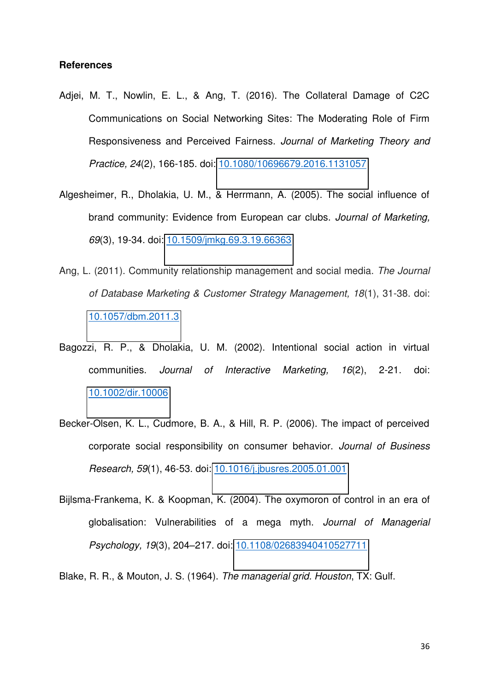#### **References**

- Adjei, M. T., Nowlin, E. L., & Ang, T. (2016). The Collateral Damage of C2C Communications on Social Networking Sites: The Moderating Role of Firm Responsiveness and Perceived Fairness. *Journal of Marketing Theory and Practice, 24*(2), 166-185. doi: [10.1080/10696679.2016.1131057](http://www.tandfonline.com/doi/abs/10.1080/10696679.2016.1131057)
- Algesheimer, R., Dholakia, U. M., & Herrmann, A. (2005). The social influence of brand community: Evidence from European car clubs. *Journal of Marketing, 69*(3), 19-34. doi: [10.1509/jmkg.69.3.19.66363](http://journals.ama.org/doi/abs/10.1509/jmkg.69.3.19.66363?code=amma-site)
- Ang, L. (2011). Community relationship management and social media. *The Journal of Database Marketing & Customer Strategy Management, 18*(1), 31-38. doi: [10.1057/dbm.2011.3](http://www.ingentaconnect.com/content/pal/dbm/2011/00000018/00000001/art00004)
- Bagozzi, R. P., & Dholakia, U. M. (2002). Intentional social action in virtual communities. *Journal of Interactive Marketing, 16*(2), 2-21. doi: [10.1002/dir.10006](http://onlinelibrary.wiley.com/doi/10.1002/dir.10006/abstract)
- Becker-Olsen, K. L., Cudmore, B. A., & Hill, R. P. (2006). The impact of perceived corporate social responsibility on consumer behavior. *Journal of Business Research, 59*(1), 46-53. doi: [10.1016/j.jbusres.2005.01.001](http://www.sciencedirect.com/science/article/pii/S0148296305000342)
- Bijlsma-Frankema, K. & Koopman, K. (2004). The oxymoron of control in an era of globalisation: Vulnerabilities of a mega myth. *Journal of Managerial Psychology, 19*(3), 204–217. doi: [10.1108/02683940410527711](http://www.emeraldinsight.com/doi/abs/10.1108/02683940410527711)
- Blake, R. R., & Mouton, J. S. (1964). *The managerial grid. Houston*, TX: Gulf.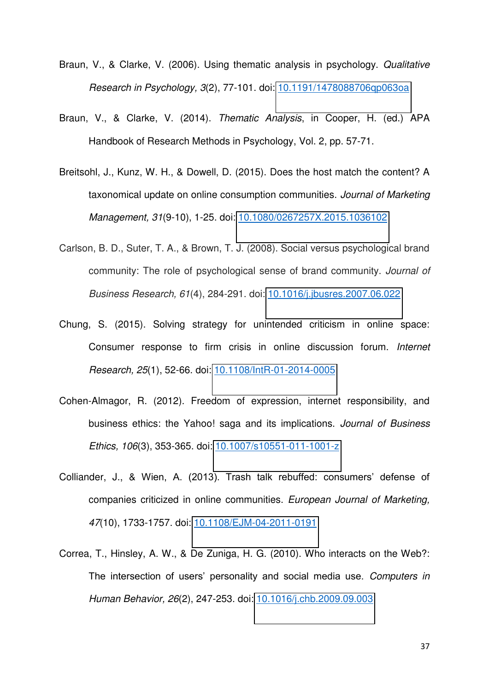- Braun, V., & Clarke, V. (2006). Using thematic analysis in psychology. *Qualitative Research in Psychology, 3*(2), 77-101. doi: [10.1191/1478088706qp063oa](http://www.tandfonline.com/doi/abs/10.1191/1478088706qp063oa)
- Braun, V., & Clarke, V. (2014). *Thematic Analysis*, in Cooper, H. (ed.) APA Handbook of Research Methods in Psychology, Vol. 2, pp. 57-71.
- Breitsohl, J., Kunz, W. H., & Dowell, D. (2015). Does the host match the content? A taxonomical update on online consumption communities. *Journal of Marketing Management, 31*(9-10), 1-25. doi: [10.1080/0267257X.2015.1036102](http://www.tandfonline.com/doi/abs/10.1080/0267257X.2015.1036102?journalCode=rjmm20)
- Carlson, B. D., Suter, T. A., & Brown, T. J. (2008). Social versus psychological brand community: The role of psychological sense of brand community. *Journal of Business Research, 61*(4), 284-291. doi: [10.1016/j.jbusres.2007.06.022](http://www.sciencedirect.com/science/article/pii/S0148296307001774)
- Chung, S. (2015). Solving strategy for unintended criticism in online space: Consumer response to firm crisis in online discussion forum. *Internet Research, 25*(1), 52-66. doi: [10.1108/IntR-01-2014-0005](http://www.emeraldinsight.com/doi/abs/10.1108/IntR-01-2014-0005)
- Cohen-Almagor, R. (2012). Freedom of expression, internet responsibility, and business ethics: the Yahoo! saga and its implications. *Journal of Business Ethics, 106*(3), 353-365. doi: [10.1007/s10551-011-1001-z](http://link.springer.com/article/10.1007/s10551-011-1001-z)
- Colliander, J., & Wien, A. (2013). Trash talk rebuffed: consumers' defense of companies criticized in online communities. *European Journal of Marketing, 47*(10), 1733-1757. doi: [10.1108/EJM-04-2011-0191](http://www.emeraldinsight.com/doi/abs/10.1108/EJM-04-2011-0191)
- Correa, T., Hinsley, A. W., & De Zuniga, H. G. (2010). Who interacts on the Web?: The intersection of users' personality and social media use. *Computers in Human Behavior, 26*(2), 247-253. doi: [10.1016/j.chb.2009.09.003](http://www.sciencedirect.com/science/article/pii/S0747563209001472)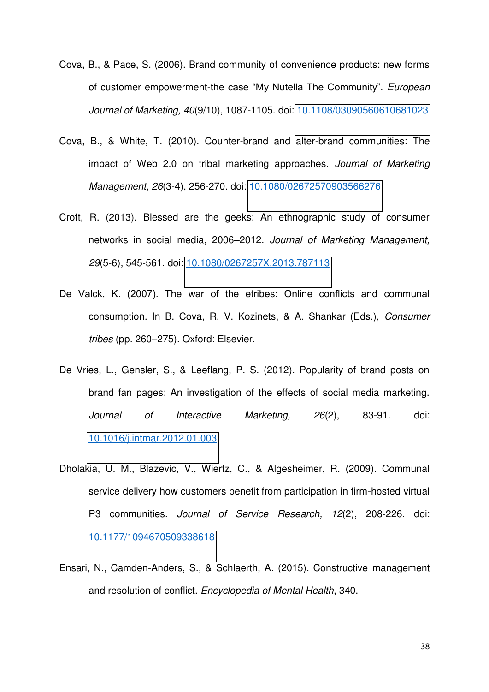- Cova, B., & Pace, S. (2006). Brand community of convenience products: new forms of customer empowerment-the case "My Nutella The Community". *European Journal of Marketing, 40*(9/10), 1087-1105. doi: [10.1108/03090560610681023](http://www.emeraldinsight.com/doi/abs/10.1108/03090560610681023)
- Cova, B., & White, T. (2010). Counter-brand and alter-brand communities: The impact of Web 2.0 on tribal marketing approaches. *Journal of Marketing Management, 26*(3-4), 256-270. doi: [10.1080/02672570903566276](http://dx.doi.org/10.1080/02672570903566276)
- Croft, R. (2013). Blessed are the geeks: An ethnographic study of consumer networks in social media, 2006–2012. *Journal of Marketing Management, 29*(5-6), 545-561. doi: [10.1080/0267257X.2013.787113](http://dx.doi.org/10.1080/0267257X.2013.787113)
- De Valck, K. (2007). The war of the etribes: Online conflicts and communal consumption. In B. Cova, R. V. Kozinets, & A. Shankar (Eds.), *Consumer tribes* (pp. 260–275). Oxford: Elsevier.
- De Vries, L., Gensler, S., & Leeflang, P. S. (2012). Popularity of brand posts on brand fan pages: An investigation of the effects of social media marketing. *Journal of Interactive Marketing, 26*(2), 83-91. doi: [10.1016/j.intmar.2012.01.003](http://www.sciencedirect.com/science/article/pii/S1094996812000060)
- Dholakia, U. M., Blazevic, V., Wiertz, C., & Algesheimer, R. (2009). Communal service delivery how customers benefit from participation in firm-hosted virtual P3 communities. *Journal of Service Research, 12*(2), 208-226. doi: [10.1177/1094670509338618](http://jsr.sagepub.com/content/12/2/208.short)
- Ensari, N., Camden-Anders, S., & Schlaerth, A. (2015). Constructive management and resolution of conflict. *Encyclopedia of Mental Health*, 340.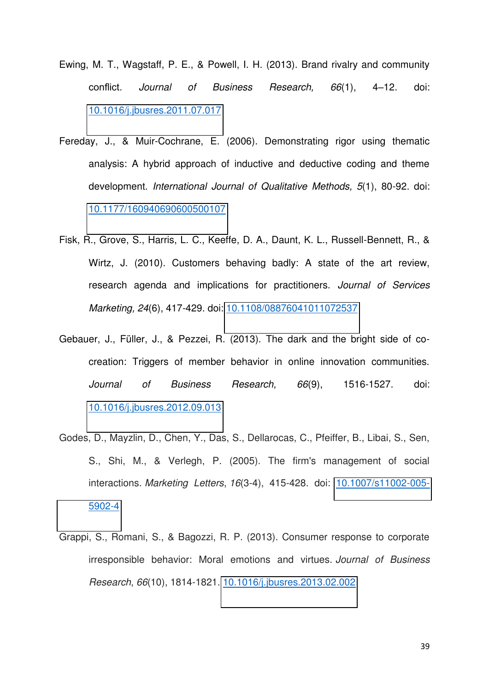- Ewing, M. T., Wagstaff, P. E., & Powell, I. H. (2013). Brand rivalry and community conflict*. Journal of Business Research, 66*(1), 4–12. doi: [10.1016/j.jbusres.2011.07.017](http://www.sciencedirect.com/science/article/pii/S0148296311002530)
- Fereday, J., & Muir-Cochrane, E. (2006). Demonstrating rigor using thematic analysis: A hybrid approach of inductive and deductive coding and theme development. *International Journal of Qualitative Methods, 5*(1), 80-92. doi: [10.1177/160940690600500107](http://ijq.sagepub.com/content/5/1/80.short)
- Fisk, R., Grove, S., Harris, L. C., Keeffe, D. A., Daunt, K. L., Russell-Bennett, R., & Wirtz, J. (2010). Customers behaving badly: A state of the art review, research agenda and implications for practitioners. *Journal of Services Marketing, 24*(6), 417-429. doi: [10.1108/08876041011072537](http://www.emeraldinsight.com/doi/abs/10.1108/08876041011072537)
- Gebauer, J., Füller, J., & Pezzei, R. (2013). The dark and the bright side of cocreation: Triggers of member behavior in online innovation communities. *Journal of Business Research, 66*(9), 1516-1527. doi: [10.1016/j.jbusres.2012.09.013](http://www.sciencedirect.com/science/article/pii/S0148296312002500)
- Godes, D., Mayzlin, D., Chen, Y., Das, S., Dellarocas, C., Pfeiffer, B., Libai, S., Sen, S., Shi, M., & Verlegh, P. (2005). The firm's management of social interactions. *Marketing Letters*, *16*(3-4), 415-428. doi: [10.1007/s11002-005-](http://link.springer.com/article/10.1007/s11002-005-5902-4) [5902-4](http://link.springer.com/article/10.1007/s11002-005-5902-4)
- Grappi, S., Romani, S., & Bagozzi, R. P. (2013). Consumer response to corporate irresponsible behavior: Moral emotions and virtues. *Journal of Business Research*, *66*(10), 1814-1821. [10.1016/j.jbusres.2013.02.002](http://www.sciencedirect.com/science/article/pii/S014829631300026X)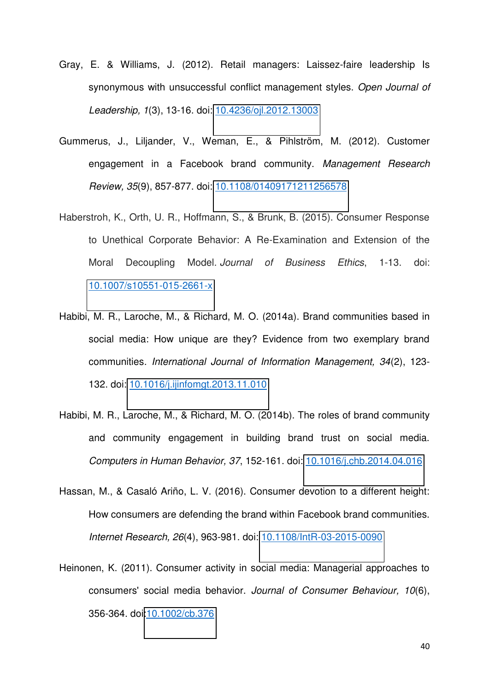- Gray, E. & Williams, J. (2012). Retail managers: Laissez-faire leadership Is synonymous with unsuccessful conflict management styles. *Open Journal of Leadership, 1*(3), 13-16. doi: [10.4236/ojl.2012.13003](http://dx.doi.org/10.4236/ojl.2012.13003http:/www.scirp.org/journal/PaperInformation.aspx?PaperID=22634)
- Gummerus, J., Liljander, V., Weman, E., & Pihlström, M. (2012). Customer engagement in a Facebook brand community. *Management Research Review, 35*(9), 857-877. doi: [10.1108/01409171211256578](http://www.emeraldinsight.com/doi/abs/10.1108/01409171211256578?src=recsys&journalCode=mrr)
- Haberstroh, K., Orth, U. R., Hoffmann, S., & Brunk, B. (2015). Consumer Response to Unethical Corporate Behavior: A Re-Examination and Extension of the Moral Decoupling Model. *Journal of Business Ethics*, 1-13. doi: [10.1007/s10551-015-2661-x](http://link.springer.com/article/10.1007/s10551-015-2661-x)
- Habibi, M. R., Laroche, M., & Richard, M. O. (2014a). Brand communities based in social media: How unique are they? Evidence from two exemplary brand communities*. International Journal of Information Management, 34*(2), 123- 132. doi: [10.1016/j.ijinfomgt.2013.11.010](http://www.sciencedirect.com/science/article/pii/S0268401213001576)
- Habibi, M. R., Laroche, M., & Richard, M. O. (2014b). The roles of brand community and community engagement in building brand trust on social media. *Computers in Human Behavior, 37*, 152-161. doi: [10.1016/j.chb.2014.04.016](http://www.sciencedirect.com/science/article/pii/S0747563214002258)
- Hassan, M., & Casaló Ariño, L. V. (2016). Consumer devotion to a different height: How consumers are defending the brand within Facebook brand communities. *Internet Research, 26*(4), 963-981. doi: [10.1108/IntR-03-2015-0090](http://www.emeraldinsight.com/doi/full/10.1108/IntR-03-2015-0090)
- Heinonen, K. (2011). Consumer activity in social media: Managerial approaches to consumers' social media behavior. *Journal of Consumer Behaviour, 10*(6), 356-364. doi[:10.1002/cb.376](http://onlinelibrary.wiley.com/doi/10.1002/cb.376/full)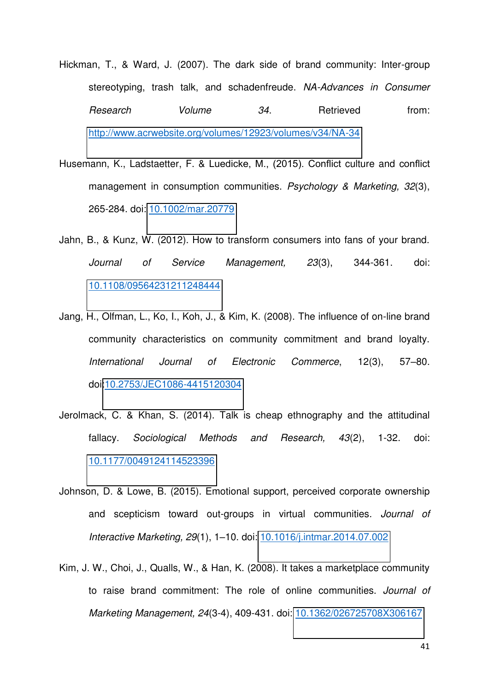- Hickman, T., & Ward, J. (2007). The dark side of brand community: Inter-group stereotyping, trash talk, and schadenfreude. *NA-Advances in Consumer*  **Research** Volume 34. Retrieved from: <http://www.acrwebsite.org/volumes/12923/volumes/v34/NA-34>
- Husemann, K., Ladstaetter, F. & Luedicke, M., (2015). Conflict culture and conflict management in consumption communities. *Psychology & Marketing, 32*(3), 265-284. doi: [10.1002/mar.20779](http://onlinelibrary.wiley.com/doi/10.1002/mar.20779/full)
- Jahn, B., & Kunz, W. (2012). How to transform consumers into fans of your brand. *Journal of Service Management, 23*(3), 344-361. doi: [10.1108/09564231211248444](http://www.emeraldinsight.com/doi/full/10.1108/09564231211248444)
- Jang, H., Olfman, L., Ko, I., Koh, J., & Kim, K. (2008). The influence of on-line brand community characteristics on community commitment and brand loyalty. *International Journal of Electronic Commerce*, 12(3), 57–80. doi[:10.2753/JEC1086-4415120304](https://www.jstor.org/stable/27751260?seq=1#page_scan_tab_contents)
- Jerolmack, C. & Khan, S. (2014). Talk is cheap ethnography and the attitudinal fallacy. *Sociological Methods and Research, 43*(2), 1-32. doi: [10.1177/0049124114523396](http://smr.sagepub.com/content/early/2014/03/04/0049124114523396.abstract)
- Johnson, D. & Lowe, B. (2015). Emotional support, perceived corporate ownership and scepticism toward out-groups in virtual communities*. Journal of Interactive Marketing, 29*(1), 1–10. doi: [10.1016/j.intmar.2014.07.002](http://dx.doi.org/10.1016/j.intmar.2014.07.002)
- Kim, J. W., Choi, J., Qualls, W., & Han, K. (2008). It takes a marketplace community to raise brand commitment: The role of online communities. *Journal of Marketing Management, 24*(3-4), 409-431. doi: [10.1362/026725708X306167](http://www.tandfonline.com/doi/abs/10.1362/026725708X306167)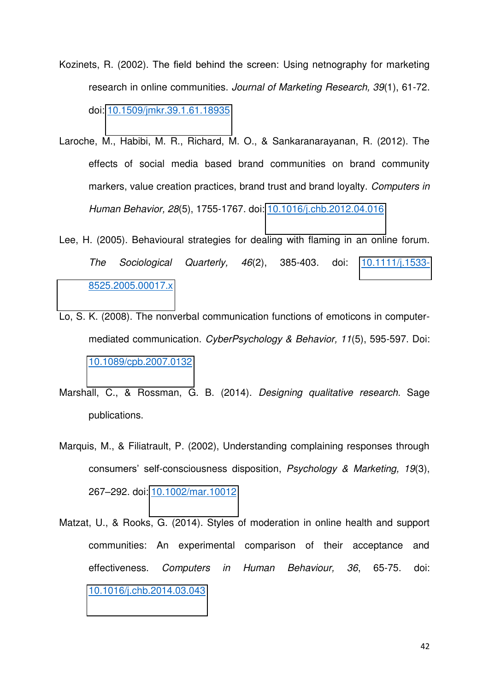- Kozinets, R. (2002). The field behind the screen: Using netnography for marketing research in online communities. *Journal of Marketing Research, 39*(1), 61-72. doi: [10.1509/jmkr.39.1.61.18935](http://journals.ama.org/doi/abs/10.1509/jmkr.39.1.61.18935)
- Laroche, M., Habibi, M. R., Richard, M. O., & Sankaranarayanan, R. (2012). The effects of social media based brand communities on brand community markers, value creation practices, brand trust and brand loyalty. *Computers in Human Behavior, 28*(5), 1755-1767. doi: [10.1016/j.chb.2012.04.016](http://www.sciencedirect.com/science/article/pii/S0747563212001203)
- Lee, H. (2005). Behavioural strategies for dealing with flaming in an online forum. *The Sociological Quarterly, 46*(2), 385-403. doi: [10.1111/j.1533-](http://onlinelibrary.wiley.com/doi/10.1111/j.1533-8525.2005.00017.x/full) [8525.2005.00017.x](http://onlinelibrary.wiley.com/doi/10.1111/j.1533-8525.2005.00017.x/full)
- Lo, S. K. (2008). The nonverbal communication functions of emoticons in computermediated communication. *CyberPsychology & Behavior, 11*(5), 595-597. Doi: [10.1089/cpb.2007.0132](http://online.liebertpub.com/doi/abs/10.1089/cpb.2007.0132)
- Marshall, C., & Rossman, G. B. (2014). *Designing qualitative research*. Sage publications.
- Marquis, M., & Filiatrault, P. (2002), Understanding complaining responses through consumers' self-consciousness disposition, *Psychology & Marketing, 19*(3), 267–292. doi: [10.1002/mar.10012](http://onlinelibrary.wiley.com/doi/10.1002/mar.10012/abstract)
- Matzat, U., & Rooks, G. (2014). Styles of moderation in online health and support communities: An experimental comparison of their acceptance and effectiveness. *Computers in Human Behaviour, 36*, 65-75. doi: [10.1016/j.chb.2014.03.043](http://www.sciencedirect.com/science/article/pii/S0747563214001654)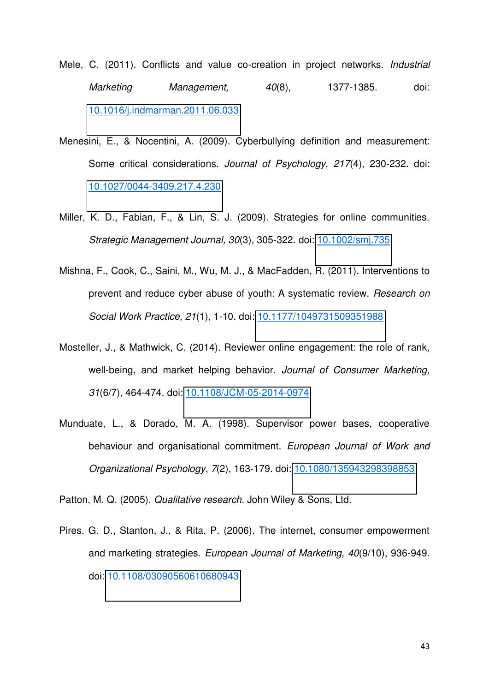- Mele, C. (2011). Conflicts and value co-creation in project networks. *Industrial Marketing Management, 40*(8), 1377-1385. doi: [10.1016/j.indmarman.2011.06.033](http://www.sciencedirect.com/science/article/pii/S0019850111000927)
- Menesini, E., & Nocentini, A. (2009). Cyberbullying definition and measurement: Some critical considerations. *Journal of Psychology, 217*(4), 230-232. doi: [10.1027/0044-3409.217.4.230](http://econtent.hogrefe.com/doi/abs/10.1027/0044-3409.217.4.230?journalCode=zfpx)
- Miller, K. D., Fabian, F., & Lin, S. J. (2009). Strategies for online communities. *Strategic Management Journal, 30*(3), 305-322. doi: [10.1002/smj.735](http://onlinelibrary.wiley.com/doi/10.1002/smj.735/abstract)
- Mishna, F., Cook, C., Saini, M., Wu, M. J., & MacFadden, R. (2011). Interventions to prevent and reduce cyber abuse of youth: A systematic review. *Research on Social Work Practice, 21*(1), 1-10. doi: [10.1177/1049731509351988](http://journals.sagepub.com/doi/abs/10.1177/1049731509351988)
- Mosteller, J., & Mathwick, C. (2014). Reviewer online engagement: the role of rank, well-being, and market helping behavior. *Journal of Consumer Marketing, 31*(6/7), 464-474. doi: [10.1108/JCM-05-2014-0974](http://www.emeraldinsight.com/doi/abs/10.1108/JCM-05-2014-0974)
- Munduate, L., & Dorado, M. A. (1998). Supervisor power bases, cooperative behaviour and organisational commitment. *European Journal of Work and Organizational Psychology*, *7*(2), 163-179. doi: [10.1080/135943298398853](http://dx.doi.org/10.1080/135943298398853)

Patton, M. Q. (2005). *Qualitative research*. John Wiley & Sons, Ltd.

Pires, G. D., Stanton, J., & Rita, P. (2006). The internet, consumer empowerment and marketing strategies. *European Journal of Marketing, 40*(9/10), 936-949. doi: [10.1108/03090560610680943](http://dx.doi.org/10.1108/03090560610680943)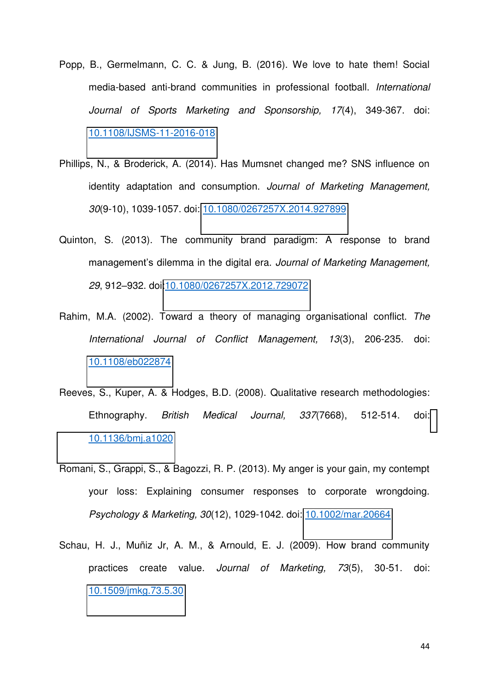- Popp, B., Germelmann, C. C. & Jung, B. (2016). We love to hate them! Social media-based anti-brand communities in professional football. *International Journal of Sports Marketing and Sponsorship, 17*(4), 349-367. doi: [10.1108/IJSMS-11-2016-018](http://www.emeraldinsight.com/doi/abs/10.1108/IJSMS-11-2016-018)
- Phillips, N., & Broderick, A. (2014). Has Mumsnet changed me? SNS influence on identity adaptation and consumption. *Journal of Marketing Management, 30*(9-10), 1039-1057. doi: [10.1080/0267257X.2014.927899](http://dx.doi.org/10.1080/0267257X.2014.927899)
- Quinton, S. (2013). The community brand paradigm: A response to brand management's dilemma in the digital era. *Journal of Marketing Management, 29*, 912–932. doi[:10.1080/0267257X.2012.729072](http://www.tandfonline.com/doi/abs/10.1080/0267257X.2012.729072)
- Rahim, M.A. (2002). Toward a theory of managing organisational conflict. *The International Journal of Conflict Management, 13*(3), 206-235. doi: [10.1108/eb022874](http://dx.doi.org/10.1108/eb022874)
- Reeves, S., Kuper, A. & Hodges, B.D. (2008). Qualitative research methodologies: Ethnography. *British Medical Journal, 337*(7668), 512-514. doi: [10.1136/bmj.a1020](https://www.researchgate.net/profile/Scott_Reeves/publication/23156526_Qualitative_research_Qualitative_research_methodologies_Ethnography/links/0deec5170796e1968d000000.pdf)
- Romani, S., Grappi, S., & Bagozzi, R. P. (2013). My anger is your gain, my contempt your loss: Explaining consumer responses to corporate wrongdoing. *Psychology & Marketing, 30*(12), 1029-1042. doi: [10.1002/mar.20664](http://onlinelibrary.wiley.com/doi/10.1002/mar.20664/abstract)
- Schau, H. J., Muñiz Jr, A. M., & Arnould, E. J. (2009). How brand community practices create value. *Journal of Marketing, 73*(5), 30-51. doi: [10.1509/jmkg.73.5.30](http://journals.ama.org/doi/abs/10.1509/jmkg.73.5.30)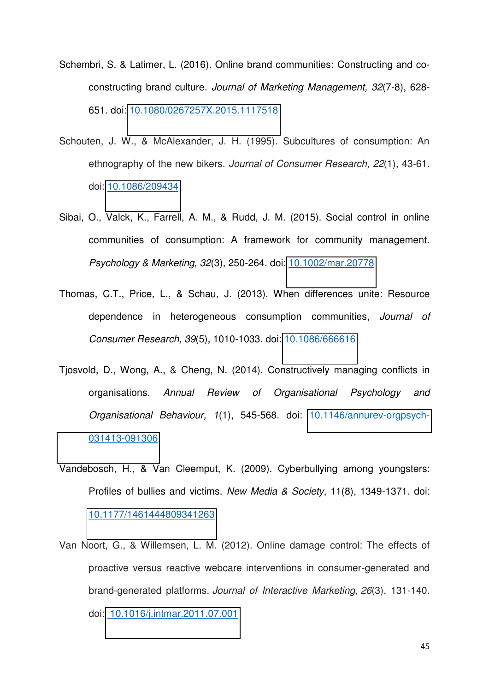- Schembri, S. & Latimer, L. (2016). Online brand communities: Constructing and coconstructing brand culture. *Journal of Marketing Management, 32*(7-8), 628- 651. doi: [10.1080/0267257X.2015.1117518](http://www.tandfonline.com/doi/abs/10.1080/0267257X.2015.1117518)
- Schouten, J. W., & McAlexander, J. H. (1995). Subcultures of consumption: An ethnography of the new bikers. *Journal of Consumer Research, 22*(1), 43-61. doi: [10.1086/209434](http://jcr.oxfordjournals.org/content/22/1/43.abstract)
- Sibai, O., Valck, K., Farrell, A. M., & Rudd, J. M. (2015). Social control in online communities of consumption: A framework for community management. *Psychology & Marketing, 32*(3), 250-264. doi: [10.1002/mar.20778](http://onlinelibrary.wiley.com/doi/10.1002/mar.20778/full)
- Thomas, C.T., Price, L., & Schau, J. (2013). When differences unite: Resource dependence in heterogeneous consumption communities, *Journal of Consumer Research, 39*(5), 1010-1033. doi: [10.1086/666616](http://jcr.oxfordjournals.org/content/39/5/1010)
- Tjosvold, D., Wong, A., & Cheng, N. (2014). Constructively managing conflicts in organisations. *Annual Review of Organisational Psychology and Organisational Behaviour, 1*(1), 545-568. doi: [10.1146/annurev-orgpsych-](http://www.annualreviews.org/doi/abs/10.1146/annurev-orgpsych-031413-091306)[031413-091306](http://www.annualreviews.org/doi/abs/10.1146/annurev-orgpsych-031413-091306)
- Vandebosch, H., & Van Cleemput, K. (2009). Cyberbullying among youngsters: Profiles of bullies and victims. *New Media & Society*, 11(8), 1349-1371. doi: [10.1177/1461444809341263](http://nms.sagepub.com/content/11/8/1349.short)
- Van Noort, G., & Willemsen, L. M. (2012). Online damage control: The effects of proactive versus reactive webcare interventions in consumer-generated and brand-generated platforms. *Journal of Interactive Marketing*, *26*(3), 131-140. doi: [10.1016/j.intmar.2011.07.001](http://www.sciencedirect.com/science/article/pii/S1094996811000600)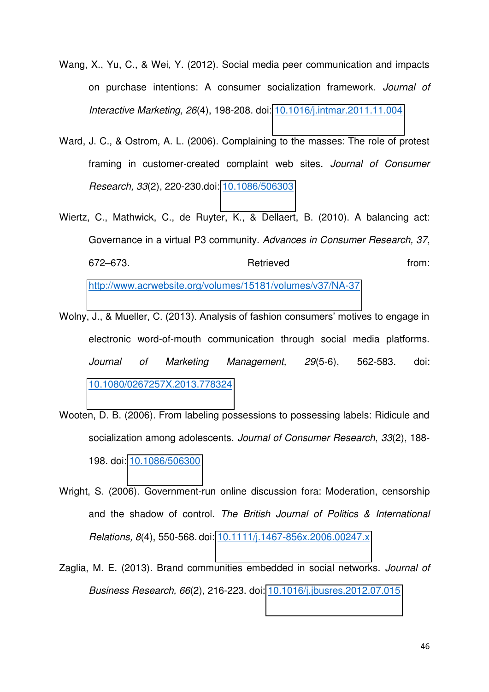- Wang, X., Yu, C., & Wei, Y. (2012). Social media peer communication and impacts on purchase intentions: A consumer socialization framework. *Journal of Interactive Marketing, 26*(4), 198-208. doi: [10.1016/j.intmar.2011.11.004](http://www.sciencedirect.com/science/article/pii/S1094996812000072)
- Ward, J. C., & Ostrom, A. L. (2006). Complaining to the masses: The role of protest framing in customer-created complaint web sites. *Journal of Consumer Research, 33*(2), 220-230.doi: [10.1086/506303](http://jcr.oxfordjournals.org/content/33/2/220.abstract)
- Wiertz, C., Mathwick, C., de Ruyter, K., & Dellaert, B. (2010). A balancing act: Governance in a virtual P3 community. *Advances in Consumer Research, 37*, 672–673. **Retrieved Retrieved https://www.from:**

<http://www.acrwebsite.org/volumes/15181/volumes/v37/NA-37>

- Wolny, J., & Mueller, C. (2013). Analysis of fashion consumers' motives to engage in electronic word-of-mouth communication through social media platforms. *Journal of Marketing Management, 29*(5-6), 562-583. doi: [10.1080/0267257X.2013.778324](http://dx.doi.org/10.1080/0267257X.2013.778324)
- Wooten, D. B. (2006). From labeling possessions to possessing labels: Ridicule and socialization among adolescents. *Journal of Consumer Research*, *33*(2), 188- 198. doi: [10.1086/506300](http://jcr.oxfordjournals.org/content/33/2/188.abstract)
- Wright, S. (2006). Government-run online discussion fora: Moderation, censorship and the shadow of control. *The British Journal of Politics & International Relations, 8*(4), 550-568. doi: [10.1111/j.1467-856x.2006.00247.x](http://bpi.sagepub.com/content/8/4/550.short)
- Zaglia, M. E. (2013). Brand communities embedded in social networks. *Journal of Business Research, 66*(2), 216-223. doi: [10.1016/j.jbusres.2012.07.015](http://www.sciencedirect.com/science/article/pii/S014829631200210X)